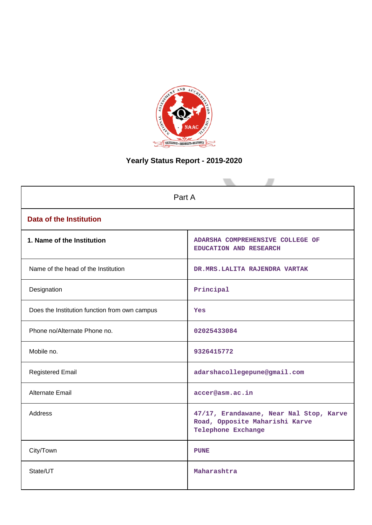

# **Yearly Status Report - 2019-2020**

| Part A                                        |                                                                                                 |  |  |  |
|-----------------------------------------------|-------------------------------------------------------------------------------------------------|--|--|--|
| <b>Data of the Institution</b>                |                                                                                                 |  |  |  |
| 1. Name of the Institution                    | ADARSHA COMPREHENSIVE COLLEGE OF<br>EDUCATION AND RESEARCH                                      |  |  |  |
| Name of the head of the Institution           | DR.MRS.LALITA RAJENDRA VARTAK                                                                   |  |  |  |
| Designation                                   | Principal                                                                                       |  |  |  |
| Does the Institution function from own campus | Yes                                                                                             |  |  |  |
| Phone no/Alternate Phone no.                  | 02025433084                                                                                     |  |  |  |
| Mobile no.                                    | 9326415772                                                                                      |  |  |  |
| <b>Registered Email</b>                       | adarshacollegepune@gmail.com                                                                    |  |  |  |
| <b>Alternate Email</b>                        | accer@asm.ac.in                                                                                 |  |  |  |
| <b>Address</b>                                | 47/17, Erandawane, Near Nal Stop, Karve<br>Road, Opposite Maharishi Karve<br>Telephone Exchange |  |  |  |
| City/Town                                     | <b>PUNE</b>                                                                                     |  |  |  |
| State/UT                                      | Maharashtra                                                                                     |  |  |  |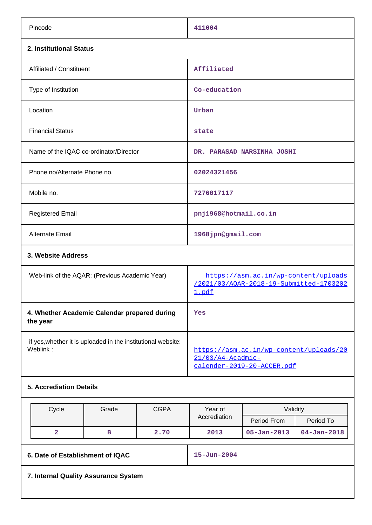| Pincode                                                                  | 411004                                                                                     |  |  |
|--------------------------------------------------------------------------|--------------------------------------------------------------------------------------------|--|--|
| 2. Institutional Status                                                  |                                                                                            |  |  |
| Affiliated / Constituent                                                 | Affiliated                                                                                 |  |  |
| Type of Institution                                                      | Co-education                                                                               |  |  |
| Location                                                                 | Urban                                                                                      |  |  |
| <b>Financial Status</b>                                                  | state                                                                                      |  |  |
| Name of the IQAC co-ordinator/Director                                   | DR. PARASAD NARSINHA JOSHI                                                                 |  |  |
| Phone no/Alternate Phone no.                                             | 02024321456                                                                                |  |  |
| Mobile no.                                                               | 7276017117                                                                                 |  |  |
| <b>Registered Email</b>                                                  | pnj1968@hotmail.co.in                                                                      |  |  |
| Alternate Email                                                          | 1968jpn@gmail.com                                                                          |  |  |
| 3. Website Address                                                       |                                                                                            |  |  |
| Web-link of the AQAR: (Previous Academic Year)                           | https://asm.ac.in/wp-content/uploads<br>/2021/03/AOAR-2018-19-Submitted-1703202<br>1.pdf   |  |  |
| 4. Whether Academic Calendar prepared during<br>the year                 | Yes                                                                                        |  |  |
| if yes, whether it is uploaded in the institutional website:<br>Weblink: | https://asm.ac.in/wp-content/uploads/20<br>21/03/A4-Acadmic-<br>calender-2019-20-ACCER.pdf |  |  |
| <b>5. Accrediation Details</b>                                           |                                                                                            |  |  |

|                                      | Cycle                            | Grade<br><b>CGPA</b><br>Year of |      |                   | Validity          |                   |  |
|--------------------------------------|----------------------------------|---------------------------------|------|-------------------|-------------------|-------------------|--|
|                                      |                                  |                                 |      | Accrediation      | Period From       | Period To         |  |
|                                      | 2                                | в                               | 2.70 | 2013              | $05 - Jan - 2013$ | $04 - Jan - 2018$ |  |
|                                      | 6. Date of Establishment of IQAC |                                 |      | $15 - Jun - 2004$ |                   |                   |  |
| 7. Internal Quality Assurance System |                                  |                                 |      |                   |                   |                   |  |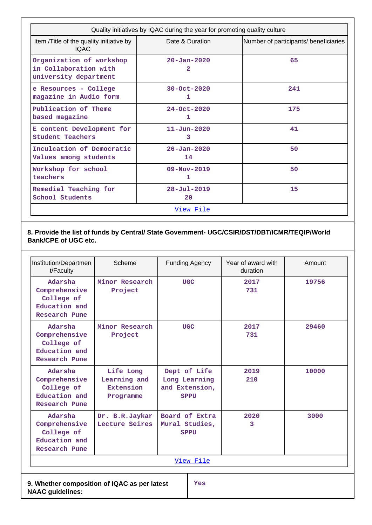| Quality initiatives by IQAC during the year for promoting quality culture                            |                         |                                       |  |  |  |
|------------------------------------------------------------------------------------------------------|-------------------------|---------------------------------------|--|--|--|
| Item /Title of the quality initiative by<br><b>IQAC</b>                                              | Date & Duration         | Number of participants/ beneficiaries |  |  |  |
| Organization of workshop<br>$20 - Jan - 2020$<br>in Collaboration with<br>2<br>university department |                         | 65                                    |  |  |  |
| e Resources - College<br>magazine in Audio form                                                      | $30 - Oct - 2020$<br>ı  | 241                                   |  |  |  |
| Publication of Theme<br>based magazine                                                               | $24 - Oct - 2020$<br>1  | 175                                   |  |  |  |
| E content Development for<br><b>Student Teachers</b>                                                 | $11 - Jun - 2020$<br>3  | 41                                    |  |  |  |
| Inculcation of Democratic<br>Values among students                                                   | $26 - Jan - 2020$<br>14 | 50                                    |  |  |  |
| Workshop for school<br>teachers                                                                      | $09 - Nov - 2019$<br>1  | 50                                    |  |  |  |
| Remedial Teaching for<br>School Students                                                             | $28 - Ju1 - 2019$<br>20 | 15                                    |  |  |  |
| View File                                                                                            |                         |                                       |  |  |  |

## **8. Provide the list of funds by Central/ State Government- UGC/CSIR/DST/DBT/ICMR/TEQIP/World Bank/CPE of UGC etc.**

| Institution/Departmen<br>t/Faculty                                       | Scheme                                              |  | <b>Funding Agency</b>                                          | Year of award with<br>duration | Amount |
|--------------------------------------------------------------------------|-----------------------------------------------------|--|----------------------------------------------------------------|--------------------------------|--------|
| Adarsha<br>Comprehensive<br>College of<br>Education and<br>Research Pune | Minor Research<br>Project                           |  | <b>UGC</b>                                                     | 2017<br>731                    | 19756  |
| Adarsha<br>Comprehensive<br>College of<br>Education and<br>Research Pune | Minor Research<br>Project                           |  | <b>UGC</b>                                                     | 2017<br>731                    | 29460  |
| Adarsha<br>Comprehensive<br>College of<br>Education and<br>Research Pune | Life Long<br>Learning and<br>Extension<br>Programme |  | Dept of Life<br>Long Learning<br>and Extension,<br><b>SPPU</b> | 2019<br>210                    | 10000  |
| Adarsha<br>Comprehensive<br>College of<br>Education and<br>Research Pune | Dr. B.R.Jaykar<br>Lecture Seires                    |  | Board of Extra<br>Mural Studies,<br><b>SPPU</b>                | 2020<br>3                      | 3000   |
| View File                                                                |                                                     |  |                                                                |                                |        |
| 9. Whether composition of IQAC as per latest<br><b>NAAC</b> guidelines:  |                                                     |  | Yes                                                            |                                |        |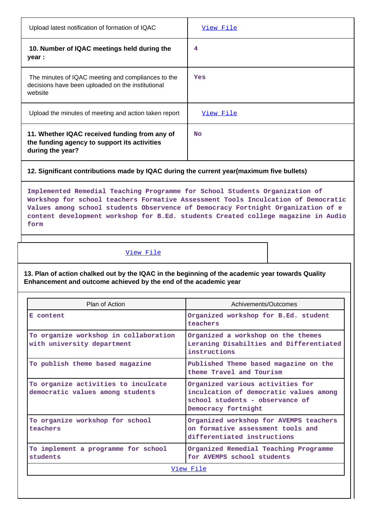| Upload latest notification of formation of IQAC                                                                    | View File |
|--------------------------------------------------------------------------------------------------------------------|-----------|
| 10. Number of IQAC meetings held during the<br>year :                                                              | 4         |
| The minutes of IQAC meeting and compliances to the<br>decisions have been uploaded on the institutional<br>website | Yes       |
| Upload the minutes of meeting and action taken report                                                              | View File |
| 11. Whether IQAC received funding from any of<br>the funding agency to support its activities<br>during the year?  | <b>No</b> |
|                                                                                                                    |           |

**12. Significant contributions made by IQAC during the current year(maximum five bullets)**

**Implemented Remedial Teaching Programme for School Students Organization of Workshop for school teachers Formative Assessment Tools Inculcation of Democratic Values among school students Observence of Democracy Fortnight Organization of e content development workshop for B.Ed. students Created college magazine in Audio form**

## [View File](https://assessmentonline.naac.gov.in/public/Postacc/Contribution/9760_Contribution.xlsx)

**13. Plan of action chalked out by the IQAC in the beginning of the academic year towards Quality Enhancement and outcome achieved by the end of the academic year**

| Plan of Action                                                          | Achivements/Outcomes                                                                                                                 |  |  |
|-------------------------------------------------------------------------|--------------------------------------------------------------------------------------------------------------------------------------|--|--|
| E content                                                               | Organized workshop for B.Ed. student<br>teachers                                                                                     |  |  |
| To organize workshop in collaboration<br>with university department     | Organized a workshop on the themes<br>Leraning Disabilties and Differentiated<br>instructions                                        |  |  |
| To publish theme based magazine                                         | Published Theme based magazine on the<br>theme Travel and Tourism                                                                    |  |  |
| To organize activities to inculcate<br>democratic values among students | Organized various activities for<br>inculcation of democratic values among<br>school students - observance of<br>Democracy fortnight |  |  |
| To organize workshop for school<br>teachers                             | Organized workshop for AVEMPS teachers<br>on formative assessment tools and<br>differentiated instructions                           |  |  |
| To implement a programme for school<br>students                         | Organized Remedial Teaching Programme<br>for AVEMPS school students                                                                  |  |  |
| View File                                                               |                                                                                                                                      |  |  |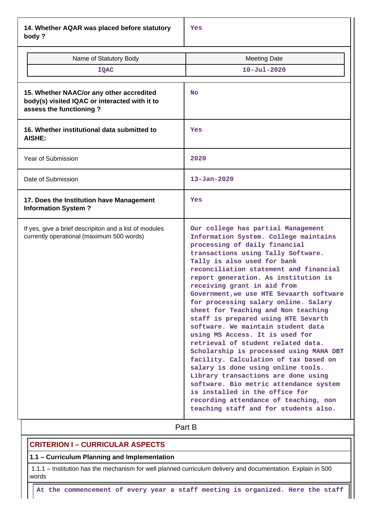**14. Whether AQAR was placed before statutory body ?**

| Name of Statutory Body<br>IQAC                                                                                       | <b>Meeting Date</b><br>$10 - Ju1 - 2020$                                                                                                                                                                                                                                                                                                                                                                                                                                                                                                                                                                                                                                                                                                                                                                                                                                                                           |
|----------------------------------------------------------------------------------------------------------------------|--------------------------------------------------------------------------------------------------------------------------------------------------------------------------------------------------------------------------------------------------------------------------------------------------------------------------------------------------------------------------------------------------------------------------------------------------------------------------------------------------------------------------------------------------------------------------------------------------------------------------------------------------------------------------------------------------------------------------------------------------------------------------------------------------------------------------------------------------------------------------------------------------------------------|
| 15. Whether NAAC/or any other accredited<br>body(s) visited IQAC or interacted with it to<br>assess the functioning? | <b>No</b>                                                                                                                                                                                                                                                                                                                                                                                                                                                                                                                                                                                                                                                                                                                                                                                                                                                                                                          |
| 16. Whether institutional data submitted to<br><b>AISHE:</b>                                                         | Yes                                                                                                                                                                                                                                                                                                                                                                                                                                                                                                                                                                                                                                                                                                                                                                                                                                                                                                                |
| Year of Submission                                                                                                   | 2020                                                                                                                                                                                                                                                                                                                                                                                                                                                                                                                                                                                                                                                                                                                                                                                                                                                                                                               |
| Date of Submission                                                                                                   | $13 - Jan - 2020$                                                                                                                                                                                                                                                                                                                                                                                                                                                                                                                                                                                                                                                                                                                                                                                                                                                                                                  |
| 17. Does the Institution have Management<br><b>Information System?</b>                                               | Yes                                                                                                                                                                                                                                                                                                                                                                                                                                                                                                                                                                                                                                                                                                                                                                                                                                                                                                                |
| If yes, give a brief descripiton and a list of modules<br>currently operational (maximum 500 words)                  | Our college has partial Management<br>Information System. College maintains<br>processing of daily financial<br>transactions using Tally Software.<br>Tally is also used for bank<br>reconciliation statement and financial<br>report generation. As institution is<br>receiving grant in aid from<br>Government, we use HTE Sevaarth software<br>for processing salary online. Salary<br>sheet for Teaching and Non teaching<br>staff is prepared using HTE Sevarth<br>software. We maintain student data<br>using MS Access. It is used for<br>retrieval of student related data.<br>Scholarship is processed using MAHA DBT<br>facility. Calculation of tax based on<br>salary is done using online tools.<br>Library transactions are done using<br>software. Bio metric attendance system<br>is installed in the office for<br>recording attendance of teaching, non<br>teaching staff and for students also. |

# **Part B**

## **CRITERION I – CURRICULAR ASPECTS**

#### **1.1 – Curriculum Planning and Implementation**

 1.1.1 – Institution has the mechanism for well planned curriculum delivery and documentation. Explain in 500 words

**At the commencement of every year a staff meeting is organized. Here the staff**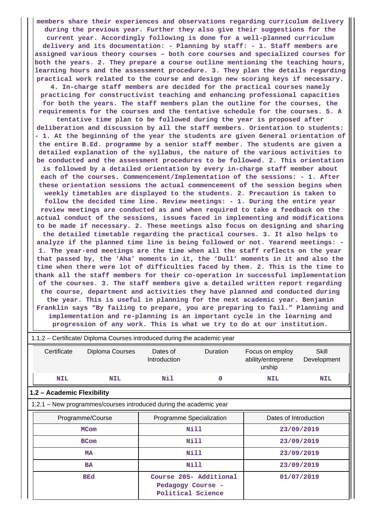**members share their experiences and observations regarding curriculum delivery during the previous year. Further they also give their suggestions for the current year. Accordingly following is done for a well-planned curriculum delivery and its documentation: - Planning by staff: - 1. Staff members are assigned various theory courses – both core courses and specialized courses for both the years. 2. They prepare a course outline mentioning the teaching hours, learning hours and the assessment procedure. 3. They plan the details regarding practical work related to the course and design new scoring keys if necessary. 4. In-charge staff members are decided for the practical courses namely practicing for constructivist teaching and enhancing professional capacities for both the years. The staff members plan the outline for the courses, the requirements for the courses and the tentative schedule for the courses. 5. A tentative time plan to be followed during the year is proposed after deliberation and discussion by all the staff members. Orientation to students: - 1. At the beginning of the year the students are given General orientation of the entire B.Ed. programme by a senior staff member. The students are given a detailed explanation of the syllabus, the nature of the various activities to be conducted and the assessment procedures to be followed. 2. This orientation is followed by a detailed orientation by every in-charge staff member about each of the courses. Commencement/Implementation of the sessions: - 1. After these orientation sessions the actual commencement of the session begins when weekly timetables are displayed to the students. 2. Precaution is taken to follow the decided time line. Review meetings: - 1. During the entire year review meetings are conducted as and when required to take a feedback on the actual conduct of the sessions, issues faced in implementing and modifications to be made if necessary. 2. These meetings also focus on designing and sharing the detailed timetable regarding the practical courses. 3. It also helps to analyze if the planned time line is being followed or not. Yearend meetings: - 1. The year-end meetings are the time when all the staff reflects on the year that passed by, the 'Aha' moments in it, the 'Dull' moments in it and also the time when there were lot of difficulties faced by them. 2. This is the time to thank all the staff members for their co-operation in successful implementation of the courses. 3. The staff members give a detailed written report regarding the course, department and activities they have planned and conducted during the year. This is useful in planning for the next academic year. Benjamin Franklin says "By failing to prepare, you are preparing to fail." Planning and implementation and re-planning is an important cycle in the learning and progression of any work. This is what we try to do at our institution.**

| 1.1.2 - Certificate/ Diploma Courses introduced during the academic year |                                                                    |                                        |                        |                                                 |                      |  |  |  |
|--------------------------------------------------------------------------|--------------------------------------------------------------------|----------------------------------------|------------------------|-------------------------------------------------|----------------------|--|--|--|
| Certificate                                                              | Diploma Courses                                                    | Dates of<br>Introduction               | <b>Duration</b>        | Focus on employ<br>ability/entreprene<br>urship | Skill<br>Development |  |  |  |
| <b>NIL</b>                                                               | <b>NIL</b>                                                         | Nil                                    | $\mathbf 0$            | <b>NIL</b>                                      | NIL                  |  |  |  |
| 1.2 - Academic Flexibility                                               |                                                                    |                                        |                        |                                                 |                      |  |  |  |
|                                                                          | 1.2.1 - New programmes/courses introduced during the academic year |                                        |                        |                                                 |                      |  |  |  |
| Programme/Course                                                         |                                                                    | Programme Specialization               |                        | Dates of Introduction                           |                      |  |  |  |
| <b>MCom</b>                                                              |                                                                    | Nill                                   |                        |                                                 | 23/09/2019           |  |  |  |
| <b>BCom</b>                                                              |                                                                    | Nill                                   |                        |                                                 | 23/09/2019           |  |  |  |
|                                                                          | <b>MA</b>                                                          | Nill                                   |                        |                                                 | 23/09/2019           |  |  |  |
|                                                                          | <b>BA</b>                                                          | Nill                                   |                        |                                                 | 23/09/2019           |  |  |  |
|                                                                          | <b>BEd</b>                                                         | Pedagogy Course -<br>Political Science | Course 205- Additional |                                                 | 01/07/2019           |  |  |  |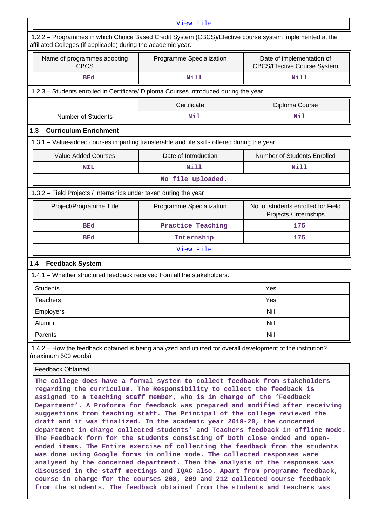|                                                                                                                                                                                                                                                                     | View File                |                                                                                                         |
|---------------------------------------------------------------------------------------------------------------------------------------------------------------------------------------------------------------------------------------------------------------------|--------------------------|---------------------------------------------------------------------------------------------------------|
| affiliated Colleges (if applicable) during the academic year.                                                                                                                                                                                                       |                          | 1.2.2 – Programmes in which Choice Based Credit System (CBCS)/Elective course system implemented at the |
| Name of programmes adopting<br><b>CBCS</b>                                                                                                                                                                                                                          | Programme Specialization | Date of implementation of<br><b>CBCS/Elective Course System</b>                                         |
| <b>BEd</b>                                                                                                                                                                                                                                                          | <b>Nill</b>              | <b>Nill</b>                                                                                             |
| 1.2.3 - Students enrolled in Certificate/ Diploma Courses introduced during the year                                                                                                                                                                                |                          |                                                                                                         |
|                                                                                                                                                                                                                                                                     | Certificate              | Diploma Course                                                                                          |
| <b>Number of Students</b>                                                                                                                                                                                                                                           | Nil                      | Nil                                                                                                     |
| 1.3 - Curriculum Enrichment                                                                                                                                                                                                                                         |                          |                                                                                                         |
| 1.3.1 – Value-added courses imparting transferable and life skills offered during the year                                                                                                                                                                          |                          |                                                                                                         |
| <b>Value Added Courses</b>                                                                                                                                                                                                                                          | Date of Introduction     | Number of Students Enrolled                                                                             |
| <b>NIL</b>                                                                                                                                                                                                                                                          | Nill                     | Nill                                                                                                    |
|                                                                                                                                                                                                                                                                     | No file uploaded.        |                                                                                                         |
| 1.3.2 - Field Projects / Internships under taken during the year                                                                                                                                                                                                    |                          |                                                                                                         |
| Project/Programme Title                                                                                                                                                                                                                                             | Programme Specialization | No. of students enrolled for Field<br>Projects / Internships                                            |
| <b>BEd</b>                                                                                                                                                                                                                                                          | Practice Teaching        | 175                                                                                                     |
| <b>BEd</b>                                                                                                                                                                                                                                                          | Internship               | 175                                                                                                     |
|                                                                                                                                                                                                                                                                     |                          |                                                                                                         |
|                                                                                                                                                                                                                                                                     | View File                |                                                                                                         |
|                                                                                                                                                                                                                                                                     |                          |                                                                                                         |
| <b>Students</b>                                                                                                                                                                                                                                                     |                          | Yes                                                                                                     |
| <b>Teachers</b>                                                                                                                                                                                                                                                     |                          | Yes                                                                                                     |
| <b>Employers</b>                                                                                                                                                                                                                                                    |                          | <b>Nill</b>                                                                                             |
| Alumni<br>Parents                                                                                                                                                                                                                                                   |                          | <b>Nill</b>                                                                                             |
|                                                                                                                                                                                                                                                                     |                          | <b>Nill</b>                                                                                             |
|                                                                                                                                                                                                                                                                     |                          |                                                                                                         |
| 1.4 - Feedback System<br>1.4.1 - Whether structured feedback received from all the stakeholders.<br>1.4.2 - How the feedback obtained is being analyzed and utilized for overall development of the institution?<br>(maximum 500 words)<br><b>Feedback Obtained</b> |                          | The college does have a formal system to collect feedback from stakeholders                             |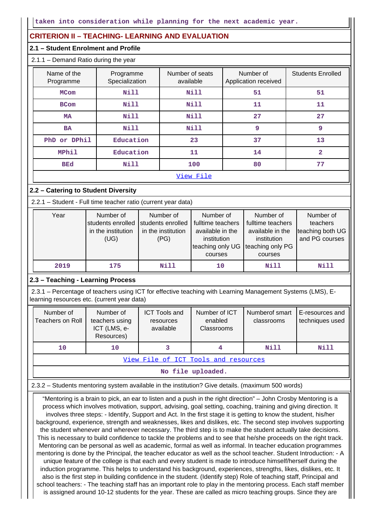## **CRITERION II – TEACHING- LEARNING AND EVALUATION**

#### **2.1 – Student Enrolment and Profile**

## 2.1.1 – Demand Ratio during the year

| Name of the<br>Programme | Programme<br>Specialization | Number of seats<br>available | Number of<br>Application received | <b>Students Enrolled</b> |
|--------------------------|-----------------------------|------------------------------|-----------------------------------|--------------------------|
| <b>MCom</b>              | <b>Nill</b>                 | <b>Nill</b>                  | 51                                | 51                       |
| <b>BCom</b>              | <b>Nill</b>                 | <b>Nill</b>                  | 11                                | 11                       |
| <b>MA</b>                | <b>Nill</b>                 | Nill                         | 27                                | 27                       |
| <b>BA</b>                | <b>Nill</b>                 | Nill                         | 9                                 | 9                        |
| PhD or DPhil             | Education                   | 23                           | 37                                | 13                       |
| <b>MPhil</b>             | Education                   | 11                           | 14                                | $\overline{a}$           |
| <b>BEd</b>               | <b>Nill</b>                 | 100                          | 80                                | 77                       |
|                          |                             | View File                    |                                   |                          |

## **2.2 – Catering to Student Diversity**

2.2.1 – Student - Full time teacher ratio (current year data)

| Year | Number of<br>students enrolled<br>in the institution<br>(UG) | Number of<br>students enrolled<br>in the institution<br>(PG) | Number of<br>fulltime teachers<br>available in the<br>institution<br>teaching only UG<br>courses | Number of<br>fulltime teachers<br>available in the<br>institution<br>teaching only PG<br>courses | Number of<br>teachers<br>teaching both UG<br>and PG courses |
|------|--------------------------------------------------------------|--------------------------------------------------------------|--------------------------------------------------------------------------------------------------|--------------------------------------------------------------------------------------------------|-------------------------------------------------------------|
| 2019 | 175                                                          | Nill                                                         | 10                                                                                               | Nill                                                                                             | Nill                                                        |

### **2.3 – Teaching - Learning Process**

 2.3.1 – Percentage of teachers using ICT for effective teaching with Learning Management Systems (LMS), Elearning resources etc. (current year data)

| Number of<br>Teachers on Roll        | Number of<br>teachers using<br>ICT (LMS, e-<br>Resources) | <b>ICT Tools and</b><br>resources<br>available | Number of ICT<br>enabled<br>Classrooms | Numberof smart<br>classrooms | E-resources and<br>techniques used |  |  |
|--------------------------------------|-----------------------------------------------------------|------------------------------------------------|----------------------------------------|------------------------------|------------------------------------|--|--|
| 10                                   | 10                                                        |                                                | 4                                      | Nill                         | Nill                               |  |  |
| View File of ICT Tools and resources |                                                           |                                                |                                        |                              |                                    |  |  |

**No file uploaded.**

2.3.2 – Students mentoring system available in the institution? Give details. (maximum 500 words)

 "Mentoring is a brain to pick, an ear to listen and a push in the right direction" – John Crosby Mentoring is a process which involves motivation, support, advising, goal setting, coaching, training and giving direction. It involves three steps: - Identify, Support and Act. In the first stage it is getting to know the student, his/her background, experience, strength and weaknesses, likes and dislikes, etc. The second step involves supporting the student whenever and wherever necessary. The third step is to make the student actually take decisions. This is necessary to build confidence to tackle the problems and to see that he/she proceeds on the right track. Mentoring can be personal as well as academic, formal as well as informal. In teacher education programmes mentoring is done by the Principal, the teacher educator as well as the school teacher. Student Introduction: - A unique feature of the college is that each and every student is made to introduce himself/herself during the induction programme. This helps to understand his background, experiences, strengths, likes, dislikes, etc. It also is the first step in building confidence in the student. (Identify step) Role of teaching staff, Principal and school teachers: - The teaching staff has an important role to play in the mentoring process. Each staff member is assigned around 10-12 students for the year. These are called as micro teaching groups. Since they are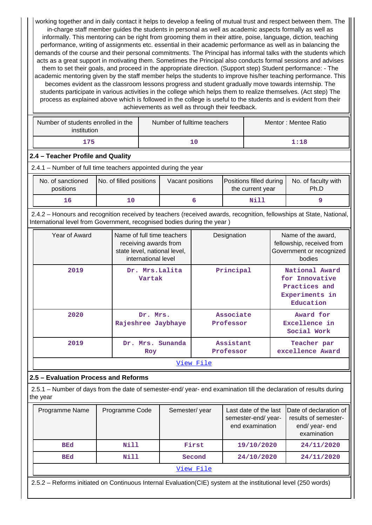working together and in daily contact it helps to develop a feeling of mutual trust and respect between them. The in-charge staff member guides the students in personal as well as academic aspects formally as well as informally. This mentoring can be right from grooming them in their attire, poise, language, diction, teaching performance, writing of assignments etc. essential in their academic performance as well as in balancing the demands of the course and their personal commitments. The Principal has informal talks with the students which acts as a great support in motivating them. Sometimes the Principal also conducts formal sessions and advises them to set their goals, and proceed in the appropriate direction. (Support step) Student performance: - The academic mentoring given by the staff member helps the students to improve his/her teaching performance. This becomes evident as the classroom lessons progress and student gradually move towards internship. The students participate in various activities in the college which helps them to realize themselves. (Act step) The process as explained above which is followed in the college is useful to the students and is evident from their achievements as well as through their feedback.

| Number of students enrolled in the<br>institution | Number of fulltime teachers | Mentor: Mentee Ratio |
|---------------------------------------------------|-----------------------------|----------------------|
| 175                                               |                             | 1:18                 |

## **2.4 – Teacher Profile and Quality**

2.4.1 – Number of full time teachers appointed during the year

| No. of sanctioned<br>positions | No. of filled positions | Vacant positions | Positions filled during<br>the current year | No. of faculty with<br>Ph.D |
|--------------------------------|-------------------------|------------------|---------------------------------------------|-----------------------------|
| 16                             |                         |                  | Nill                                        |                             |

 2.4.2 – Honours and recognition received by teachers (received awards, recognition, fellowships at State, National, International level from Government, recognised bodies during the year )

| Year of Award | Name of full time teachers<br>receiving awards from<br>state level, national level,<br>international level | Designation            | Name of the award,<br>fellowship, received from<br>Government or recognized<br>bodies |  |  |  |  |
|---------------|------------------------------------------------------------------------------------------------------------|------------------------|---------------------------------------------------------------------------------------|--|--|--|--|
| 2019          | Dr. Mrs. Lalita<br>Vartak                                                                                  | Principal              | National Award<br>for Innovative<br>Practices and<br>Experiments in<br>Education      |  |  |  |  |
| 2020          | Dr. Mrs.<br>Rajeshree Jaybhaye                                                                             | Associate<br>Professor | Award for<br>Excellence in<br>Social Work                                             |  |  |  |  |
| 2019          | Dr. Mrs. Sunanda<br>Roy                                                                                    | Assistant<br>Professor | Teacher par<br>excellence Award                                                       |  |  |  |  |
| View File     |                                                                                                            |                        |                                                                                       |  |  |  |  |

## **2.5 – Evaluation Process and Reforms**

 2.5.1 – Number of days from the date of semester-end/ year- end examination till the declaration of results during the year

| Programme Name | Programme Code | Semester/year | Last date of the last<br>semester-end/year-<br>end examination | Date of declaration of<br>results of semester-<br>end/year-end<br>examination |  |  |
|----------------|----------------|---------------|----------------------------------------------------------------|-------------------------------------------------------------------------------|--|--|
| <b>BEd</b>     | Nill           | First         | 19/10/2020                                                     | 24/11/2020                                                                    |  |  |
| <b>BEd</b>     | Nill           | Second        | 24/10/2020                                                     | 24/11/2020                                                                    |  |  |
| View File      |                |               |                                                                |                                                                               |  |  |

2.5.2 – Reforms initiated on Continuous Internal Evaluation(CIE) system at the institutional level (250 words)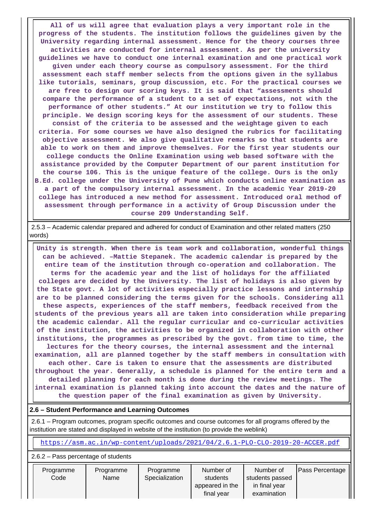**All of us will agree that evaluation plays a very important role in the progress of the students. The institution follows the guidelines given by the University regarding internal assessment. Hence for the theory courses three activities are conducted for internal assessment. As per the university guidelines we have to conduct one internal examination and one practical work given under each theory course as compulsory assessment. For the third assessment each staff member selects from the options given in the syllabus like tutorials, seminars, group discussion, etc. For the practical courses we are free to design our scoring keys. It is said that "assessments should compare the performance of a student to a set of expectations, not with the performance of other students." At our institution we try to follow this principle. We design scoring keys for the assessment of our students. These consist of the criteria to be assessed and the weightage given to each criteria. For some courses we have also designed the rubrics for facilitating objective assessment. We also give qualitative remarks so that students are able to work on them and improve themselves. For the first year students our college conducts the Online Examination using web based software with the assistance provided by the Computer Department of our parent institution for the course 106. This is the unique feature of the college. Ours is the only B.Ed. college under the University of Pune which conducts online examination as a part of the compulsory internal assessment. In the academic Year 2019-20 college has introduced a new method for assessment. Introduced oral method of assessment through performance in a activity of Group Discussion under the course 209 Understanding Self.**

 2.5.3 – Academic calendar prepared and adhered for conduct of Examination and other related matters (250 words)

 **Unity is strength. When there is team work and collaboration, wonderful things can be achieved. –Mattie Stepanek. The academic calendar is prepared by the entire team of the institution through co-operation and collaboration. The terms for the academic year and the list of holidays for the affiliated colleges are decided by the University. The list of holidays is also given by the State govt. A lot of activities especially practice lessons and internship are to be planned considering the terms given for the schools. Considering all these aspects, experiences of the staff members, feedback received from the students of the previous years all are taken into consideration while preparing the academic calendar. All the regular curricular and co-curricular activities of the institution, the activities to be organized in collaboration with other institutions, the programmes as prescribed by the govt. from time to time, the lectures for the theory courses, the internal assessment and the internal examination, all are planned together by the staff members in consultation with each other. Care is taken to ensure that the assessments are distributed throughout the year. Generally, a schedule is planned for the entire term and a detailed planning for each month is done during the review meetings. The internal examination is planned taking into account the dates and the nature of the question paper of the final examination as given by University.**

### **2.6 – Student Performance and Learning Outcomes**

 2.6.1 – Program outcomes, program specific outcomes and course outcomes for all programs offered by the institution are stated and displayed in website of the institution (to provide the weblink)

<https://asm.ac.in/wp-content/uploads/2021/04/2.6.1-PLO-CLO-2019-20-ACCER.pdf>

#### 2.6.2 – Pass percentage of students

| Programme | Programme | Programme      | Number of       | Number of       | <b>Pass Percentage</b> |
|-----------|-----------|----------------|-----------------|-----------------|------------------------|
| Code      | Name      | Specialization | students        | students passed |                        |
|           |           |                | appeared in the | in final year   |                        |
|           |           |                | final vear      | examination     |                        |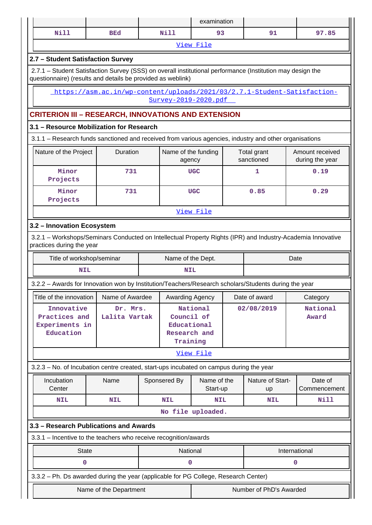|                            |                                                                                                             |  |                               | examination             |  |                               |               |                                    |
|----------------------------|-------------------------------------------------------------------------------------------------------------|--|-------------------------------|-------------------------|--|-------------------------------|---------------|------------------------------------|
| <b>Nill</b>                | <b>BEd</b>                                                                                                  |  | <b>Nill</b>                   | 93                      |  | 91                            |               | 97.85                              |
|                            |                                                                                                             |  |                               | View File               |  |                               |               |                                    |
|                            | 2.7 - Student Satisfaction Survey                                                                           |  |                               |                         |  |                               |               |                                    |
|                            | 2.7.1 - Student Satisfaction Survey (SSS) on overall institutional performance (Institution may design the  |  |                               |                         |  |                               |               |                                    |
|                            | questionnaire) (results and details be provided as weblink)                                                 |  |                               |                         |  |                               |               |                                    |
|                            | https://asm.ac.in/wp-content/uploads/2021/03/2.7.1-Student-Satisfaction-                                    |  |                               |                         |  |                               |               |                                    |
| Survey-2019-2020.pdf       |                                                                                                             |  |                               |                         |  |                               |               |                                    |
|                            | <b>CRITERION III - RESEARCH, INNOVATIONS AND EXTENSION</b>                                                  |  |                               |                         |  |                               |               |                                    |
|                            | 3.1 - Resource Mobilization for Research                                                                    |  |                               |                         |  |                               |               |                                    |
|                            | 3.1.1 – Research funds sanctioned and received from various agencies, industry and other organisations      |  |                               |                         |  |                               |               |                                    |
| Nature of the Project      | Duration                                                                                                    |  | Name of the funding<br>agency |                         |  | Total grant<br>sanctioned     |               | Amount received<br>during the year |
| Minor<br>Projects          | 731                                                                                                         |  |                               | <b>UGC</b>              |  | 1                             |               | 0.19                               |
| Minor<br>Projects          | 731                                                                                                         |  |                               | <b>UGC</b>              |  | 0.85                          |               | 0.29                               |
|                            |                                                                                                             |  |                               | View File               |  |                               |               |                                    |
| 3.2 - Innovation Ecosystem |                                                                                                             |  |                               |                         |  |                               |               |                                    |
| practices during the year  | 3.2.1 - Workshops/Seminars Conducted on Intellectual Property Rights (IPR) and Industry-Academia Innovative |  |                               |                         |  |                               |               |                                    |
| Title of workshop/seminar  |                                                                                                             |  | Name of the Dept.             |                         |  |                               | Date          |                                    |
| <b>NIL</b>                 |                                                                                                             |  | <b>NIL</b>                    |                         |  |                               |               |                                    |
|                            | 3.2.2 - Awards for Innovation won by Institution/Teachers/Research scholars/Students during the year        |  |                               |                         |  |                               |               |                                    |
|                            | Title of the innovation   Name of Awardee   Awarding Agency                                                 |  |                               |                         |  | Date of award                 |               | Category                           |
| Innovative                 | Dr. Mrs.                                                                                                    |  |                               | National                |  | 02/08/2019                    |               | National                           |
| Practices and              | Lalita Vartak                                                                                               |  | Council of                    |                         |  |                               |               | Award                              |
| Experiments in             |                                                                                                             |  | Educational                   |                         |  |                               |               |                                    |
| Education                  |                                                                                                             |  | Research and<br>Training      |                         |  |                               |               |                                    |
|                            |                                                                                                             |  |                               | View File               |  |                               |               |                                    |
|                            | 3.2.3 - No. of Incubation centre created, start-ups incubated on campus during the year                     |  |                               |                         |  |                               |               |                                    |
|                            |                                                                                                             |  |                               |                         |  |                               |               |                                    |
| Incubation<br>Center       | Name                                                                                                        |  | Sponsered By                  | Name of the<br>Start-up |  | Nature of Start-<br><b>up</b> |               | Date of<br>Commencement            |
| <b>NIL</b>                 | <b>NIL</b>                                                                                                  |  | <b>NIL</b>                    | <b>NIL</b>              |  | <b>NIL</b>                    |               | Nill                               |
|                            |                                                                                                             |  | No file uploaded.             |                         |  |                               |               |                                    |
|                            | 3.3 - Research Publications and Awards                                                                      |  |                               |                         |  |                               |               |                                    |
|                            | 3.3.1 - Incentive to the teachers who receive recognition/awards                                            |  |                               |                         |  |                               |               |                                    |
| <b>State</b>               |                                                                                                             |  | National                      |                         |  |                               | International |                                    |
| $\mathbf 0$                |                                                                                                             |  | 0                             |                         |  |                               | 0             |                                    |
|                            | 3.3.2 - Ph. Ds awarded during the year (applicable for PG College, Research Center)                         |  |                               |                         |  |                               |               |                                    |
|                            | Name of the Department                                                                                      |  |                               |                         |  | Number of PhD's Awarded       |               |                                    |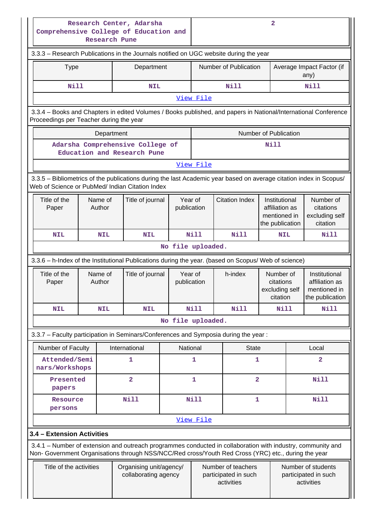| Research Center, Adarsha<br>Comprehensive College of Education and<br><b>Research Pune</b>                                                                                                                         |                                                 |                        |                                                            | $\overline{2}$                                           |                                                      |                                                                                                                            |                                                                    |
|--------------------------------------------------------------------------------------------------------------------------------------------------------------------------------------------------------------------|-------------------------------------------------|------------------------|------------------------------------------------------------|----------------------------------------------------------|------------------------------------------------------|----------------------------------------------------------------------------------------------------------------------------|--------------------------------------------------------------------|
| 3.3.3 - Research Publications in the Journals notified on UGC website during the year                                                                                                                              |                                                 |                        |                                                            |                                                          |                                                      |                                                                                                                            |                                                                    |
| <b>Type</b>                                                                                                                                                                                                        | Department                                      |                        | Number of Publication<br>Average Impact Factor (if<br>any) |                                                          |                                                      |                                                                                                                            |                                                                    |
| <b>Nill</b>                                                                                                                                                                                                        | <b>NIL</b>                                      |                        |                                                            | Nill                                                     |                                                      |                                                                                                                            | Nill                                                               |
|                                                                                                                                                                                                                    |                                                 |                        | View File                                                  |                                                          |                                                      |                                                                                                                            |                                                                    |
| 3.3.4 - Books and Chapters in edited Volumes / Books published, and papers in National/International Conference<br>Proceedings per Teacher during the year                                                         |                                                 |                        |                                                            |                                                          |                                                      |                                                                                                                            |                                                                    |
| Department                                                                                                                                                                                                         |                                                 |                        |                                                            |                                                          | Number of Publication                                |                                                                                                                            |                                                                    |
| Adarsha Comprehensive College of<br>Education and Research Pune                                                                                                                                                    |                                                 |                        |                                                            |                                                          | Nill                                                 |                                                                                                                            |                                                                    |
|                                                                                                                                                                                                                    |                                                 |                        | View File                                                  |                                                          |                                                      |                                                                                                                            |                                                                    |
| 3.3.5 - Bibliometrics of the publications during the last Academic year based on average citation index in Scopus/<br>Web of Science or PubMed/ Indian Citation Index                                              |                                                 |                        |                                                            |                                                          |                                                      |                                                                                                                            |                                                                    |
| Title of the<br>Name of<br>Author<br>Paper                                                                                                                                                                         | Title of journal                                | Year of<br>publication |                                                            | <b>Citation Index</b>                                    |                                                      | Number of<br>Institutional<br>citations<br>affiliation as<br>mentioned in<br>excluding self<br>the publication<br>citation |                                                                    |
| <b>NIL</b><br><b>NIL</b>                                                                                                                                                                                           | <b>NIL</b>                                      |                        | Nill                                                       | Nill                                                     | <b>NIL</b>                                           |                                                                                                                            | Nill                                                               |
|                                                                                                                                                                                                                    |                                                 | No file uploaded.      |                                                            |                                                          |                                                      |                                                                                                                            |                                                                    |
| 3.3.6 - h-Index of the Institutional Publications during the year. (based on Scopus/ Web of science)                                                                                                               |                                                 |                        |                                                            |                                                          |                                                      |                                                                                                                            |                                                                    |
| Name of<br>Title of the<br>Author<br>Paper                                                                                                                                                                         | Title of journal                                | Year of<br>publication |                                                            | h-index                                                  | Number of<br>citations<br>excluding self<br>citation |                                                                                                                            | Institutional<br>affiliation as<br>mentioned in<br>the publication |
| <b>NIL</b><br><b>NIL</b>                                                                                                                                                                                           | <b>NIL</b>                                      |                        | <b>Nill</b>                                                | Nill                                                     | Nill                                                 |                                                                                                                            | <b>Nill</b>                                                        |
|                                                                                                                                                                                                                    |                                                 | No file uploaded.      |                                                            |                                                          |                                                      |                                                                                                                            |                                                                    |
| 3.3.7 - Faculty participation in Seminars/Conferences and Symposia during the year:                                                                                                                                |                                                 |                        |                                                            |                                                          |                                                      |                                                                                                                            |                                                                    |
| Number of Faculty                                                                                                                                                                                                  | International                                   | National               |                                                            | <b>State</b>                                             |                                                      |                                                                                                                            | Local                                                              |
| Attended/Semi<br>nars/Workshops                                                                                                                                                                                    | 1                                               |                        | 1                                                          | 1                                                        |                                                      |                                                                                                                            | $\overline{\mathbf{2}}$                                            |
| Presented<br>papers                                                                                                                                                                                                | $\overline{\mathbf{2}}$                         |                        | 1                                                          | $\mathbf{2}$                                             |                                                      |                                                                                                                            | <b>Nill</b>                                                        |
| Resource<br>persons                                                                                                                                                                                                | <b>Nill</b>                                     |                        | <b>Nill</b>                                                | 1                                                        |                                                      |                                                                                                                            | <b>Nill</b>                                                        |
|                                                                                                                                                                                                                    |                                                 |                        | View File                                                  |                                                          |                                                      |                                                                                                                            |                                                                    |
| 3.4 - Extension Activities                                                                                                                                                                                         |                                                 |                        |                                                            |                                                          |                                                      |                                                                                                                            |                                                                    |
| 3.4.1 – Number of extension and outreach programmes conducted in collaboration with industry, community and<br>Non- Government Organisations through NSS/NCC/Red cross/Youth Red Cross (YRC) etc., during the year |                                                 |                        |                                                            |                                                          |                                                      |                                                                                                                            |                                                                    |
| Title of the activities                                                                                                                                                                                            | Organising unit/agency/<br>collaborating agency |                        |                                                            | Number of teachers<br>participated in such<br>activities |                                                      |                                                                                                                            | Number of students<br>participated in such<br>activities           |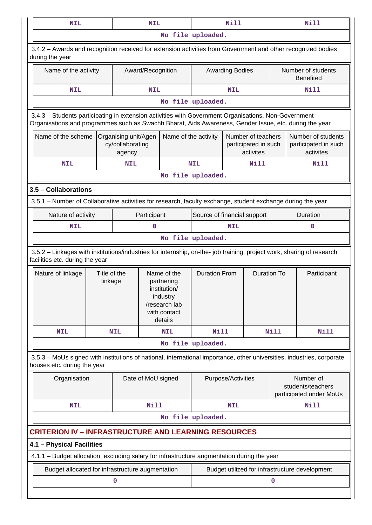| <b>NIL</b>                                                                                                                                                                                                     |                         |                                                         | <b>NIL</b>         |                                                                                                   |                                                         | Nill                   |                    |                                        | <b>Nill</b>                                               |
|----------------------------------------------------------------------------------------------------------------------------------------------------------------------------------------------------------------|-------------------------|---------------------------------------------------------|--------------------|---------------------------------------------------------------------------------------------------|---------------------------------------------------------|------------------------|--------------------|----------------------------------------|-----------------------------------------------------------|
|                                                                                                                                                                                                                | No file uploaded.       |                                                         |                    |                                                                                                   |                                                         |                        |                    |                                        |                                                           |
| 3.4.2 - Awards and recognition received for extension activities from Government and other recognized bodies<br>during the year                                                                                |                         |                                                         |                    |                                                                                                   |                                                         |                        |                    |                                        |                                                           |
| Name of the activity                                                                                                                                                                                           |                         |                                                         | Award/Recognition  |                                                                                                   |                                                         | <b>Awarding Bodies</b> |                    | Number of students<br><b>Benefited</b> |                                                           |
| <b>NIL</b>                                                                                                                                                                                                     |                         |                                                         | <b>NIL</b>         |                                                                                                   |                                                         | <b>NIL</b>             |                    |                                        | <b>Nill</b>                                               |
|                                                                                                                                                                                                                |                         |                                                         |                    |                                                                                                   | No file uploaded.                                       |                        |                    |                                        |                                                           |
| 3.4.3 - Students participating in extension activities with Government Organisations, Non-Government<br>Organisations and programmes such as Swachh Bharat, Aids Awareness, Gender Issue, etc. during the year |                         |                                                         |                    |                                                                                                   |                                                         |                        |                    |                                        |                                                           |
| Name of the scheme<br>Name of the activity<br>Organising unit/Agen<br>cy/collaborating<br>agency                                                                                                               |                         | Number of teachers<br>participated in such<br>activites |                    |                                                                                                   | Number of students<br>participated in such<br>activites |                        |                    |                                        |                                                           |
| <b>NIL</b>                                                                                                                                                                                                     |                         | <b>NIL</b>                                              |                    |                                                                                                   | <b>NIL</b>                                              |                        | <b>Nill</b>        |                                        | Nill                                                      |
|                                                                                                                                                                                                                |                         |                                                         |                    |                                                                                                   | No file uploaded.                                       |                        |                    |                                        |                                                           |
| 3.5 - Collaborations                                                                                                                                                                                           |                         |                                                         |                    |                                                                                                   |                                                         |                        |                    |                                        |                                                           |
| 3.5.1 – Number of Collaborative activities for research, faculty exchange, student exchange during the year                                                                                                    |                         |                                                         |                    |                                                                                                   |                                                         |                        |                    |                                        |                                                           |
| Nature of activity                                                                                                                                                                                             |                         |                                                         | Participant        |                                                                                                   | Source of financial support                             |                        |                    |                                        | Duration                                                  |
| <b>NIL</b>                                                                                                                                                                                                     |                         |                                                         | $\mathbf 0$        |                                                                                                   | <b>NIL</b>                                              |                        |                    | $\mathbf 0$                            |                                                           |
|                                                                                                                                                                                                                |                         |                                                         |                    |                                                                                                   | No file uploaded.                                       |                        |                    |                                        |                                                           |
| 3.5.2 - Linkages with institutions/industries for internship, on-the- job training, project work, sharing of research<br>facilities etc. during the year                                                       |                         |                                                         |                    |                                                                                                   |                                                         |                        |                    |                                        |                                                           |
| Nature of linkage                                                                                                                                                                                              | Title of the<br>linkage |                                                         |                    | Name of the<br>partnering<br>institution/<br>industry<br>/research lab<br>with contact<br>details | <b>Duration From</b>                                    |                        | <b>Duration To</b> |                                        | Participant                                               |
| <b>NIL</b>                                                                                                                                                                                                     |                         | <b>NIL</b>                                              |                    | <b>NIL</b>                                                                                        | <b>Nill</b>                                             |                        |                    | Nill                                   | <b>Nill</b>                                               |
|                                                                                                                                                                                                                |                         |                                                         |                    |                                                                                                   | No file uploaded.                                       |                        |                    |                                        |                                                           |
| 3.5.3 - MoUs signed with institutions of national, international importance, other universities, industries, corporate<br>houses etc. during the year                                                          |                         |                                                         |                    |                                                                                                   |                                                         |                        |                    |                                        |                                                           |
| Organisation                                                                                                                                                                                                   |                         |                                                         | Date of MoU signed |                                                                                                   |                                                         | Purpose/Activities     |                    |                                        | Number of<br>students/teachers<br>participated under MoUs |
| <b>NIL</b>                                                                                                                                                                                                     |                         |                                                         | Nill               |                                                                                                   |                                                         | <b>NIL</b>             |                    |                                        | <b>Nill</b>                                               |
|                                                                                                                                                                                                                |                         |                                                         |                    |                                                                                                   | No file uploaded.                                       |                        |                    |                                        |                                                           |
| <b>CRITERION IV - INFRASTRUCTURE AND LEARNING RESOURCES</b>                                                                                                                                                    |                         |                                                         |                    |                                                                                                   |                                                         |                        |                    |                                        |                                                           |
| 4.1 - Physical Facilities                                                                                                                                                                                      |                         |                                                         |                    |                                                                                                   |                                                         |                        |                    |                                        |                                                           |
| 4.1.1 - Budget allocation, excluding salary for infrastructure augmentation during the year                                                                                                                    |                         |                                                         |                    |                                                                                                   |                                                         |                        |                    |                                        |                                                           |
| Budget allocated for infrastructure augmentation                                                                                                                                                               |                         |                                                         |                    |                                                                                                   |                                                         |                        |                    |                                        | Budget utilized for infrastructure development            |
|                                                                                                                                                                                                                |                         | 0                                                       |                    |                                                                                                   |                                                         |                        |                    | 0                                      |                                                           |
|                                                                                                                                                                                                                |                         |                                                         |                    |                                                                                                   |                                                         |                        |                    |                                        |                                                           |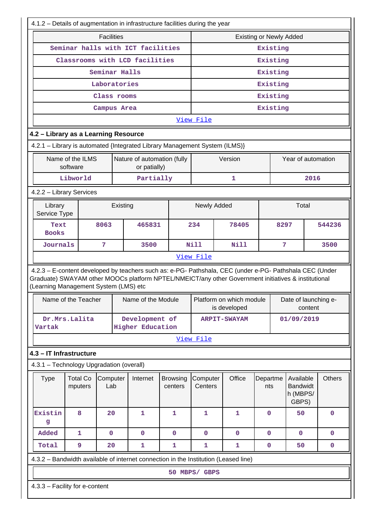|                                                                                                                                                                                                                                                         | 4.1.2 - Details of augmentation in infrastructure facilities during the year |                            |                     |                                          |                 |                                                   |         |               |
|---------------------------------------------------------------------------------------------------------------------------------------------------------------------------------------------------------------------------------------------------------|------------------------------------------------------------------------------|----------------------------|---------------------|------------------------------------------|-----------------|---------------------------------------------------|---------|---------------|
| <b>Facilities</b>                                                                                                                                                                                                                                       | <b>Existing or Newly Added</b>                                               |                            |                     |                                          |                 |                                                   |         |               |
| Seminar halls with ICT facilities                                                                                                                                                                                                                       | Existing                                                                     |                            |                     |                                          |                 |                                                   |         |               |
| Classrooms with LCD facilities                                                                                                                                                                                                                          |                                                                              |                            |                     | Existing                                 |                 |                                                   |         |               |
|                                                                                                                                                                                                                                                         | Seminar Halls                                                                |                            |                     | Existing                                 |                 |                                                   |         |               |
|                                                                                                                                                                                                                                                         | Laboratories                                                                 |                            |                     |                                          | Existing        |                                                   |         |               |
|                                                                                                                                                                                                                                                         | Class rooms                                                                  |                            |                     |                                          | Existing        |                                                   |         |               |
|                                                                                                                                                                                                                                                         | Campus Area                                                                  |                            |                     |                                          | Existing        |                                                   |         |               |
|                                                                                                                                                                                                                                                         |                                                                              |                            | View File           |                                          |                 |                                                   |         |               |
| 4.2 - Library as a Learning Resource                                                                                                                                                                                                                    |                                                                              |                            |                     |                                          |                 |                                                   |         |               |
| 4.2.1 - Library is automated {Integrated Library Management System (ILMS)}                                                                                                                                                                              |                                                                              |                            |                     |                                          |                 |                                                   |         |               |
| Name of the ILMS<br>software                                                                                                                                                                                                                            | Nature of automation (fully<br>or patially)                                  |                            |                     | Version                                  |                 | Year of automation                                |         |               |
| Libworld                                                                                                                                                                                                                                                | Partially                                                                    |                            |                     | 1                                        |                 |                                                   | 2016    |               |
| 4.2.2 - Library Services                                                                                                                                                                                                                                |                                                                              |                            |                     |                                          |                 |                                                   |         |               |
| Library<br>Service Type                                                                                                                                                                                                                                 | Existing                                                                     |                            | Newly Added         |                                          |                 | Total                                             |         |               |
| 8063<br>Text<br><b>Books</b>                                                                                                                                                                                                                            | 465831                                                                       |                            | 234                 | 78405                                    |                 | 8297                                              |         | 544236        |
| Journals<br>7                                                                                                                                                                                                                                           | 3500                                                                         |                            | Nill                | Nill                                     | 7               |                                                   |         | 3500          |
|                                                                                                                                                                                                                                                         |                                                                              |                            | View File           |                                          |                 |                                                   |         |               |
| 4.2.3 - E-content developed by teachers such as: e-PG- Pathshala, CEC (under e-PG- Pathshala CEC (Under<br>Graduate) SWAYAM other MOOCs platform NPTEL/NMEICT/any other Government initiatives & institutional<br>(Learning Management System (LMS) etc |                                                                              |                            |                     |                                          |                 |                                                   |         |               |
| Name of the Teacher                                                                                                                                                                                                                                     | Name of the Module                                                           |                            |                     | Platform on which module<br>is developed |                 | Date of launching e-                              | content |               |
| Dr.Mrs.Lalita<br>Vartak                                                                                                                                                                                                                                 | Development of<br><b>Higher Education</b>                                    |                            |                     | <b>ARPIT-SWAYAM</b>                      |                 | 01/09/2019                                        |         |               |
|                                                                                                                                                                                                                                                         |                                                                              |                            | View File           |                                          |                 |                                                   |         |               |
| 4.3 - IT Infrastructure                                                                                                                                                                                                                                 |                                                                              |                            |                     |                                          |                 |                                                   |         |               |
| 4.3.1 - Technology Upgradation (overall)                                                                                                                                                                                                                |                                                                              |                            |                     |                                          |                 |                                                   |         |               |
| <b>Type</b><br><b>Total Co</b><br>Computer<br>Lab<br>mputers                                                                                                                                                                                            | Internet                                                                     | <b>Browsing</b><br>centers | Computer<br>Centers | Office                                   | Departme<br>nts | Available<br><b>Bandwidt</b><br>h (MBPS/<br>GBPS) |         | <b>Others</b> |
| 8<br>Existin<br>20<br>g                                                                                                                                                                                                                                 | 1                                                                            | $\mathbf{1}$               | $\mathbf{1}$        | $\mathbf{1}$                             | $\mathbf 0$     | 50                                                |         | $\mathbf 0$   |
| Added<br>$\mathbf 0$<br>1                                                                                                                                                                                                                               | $\mathbf 0$                                                                  | $\mathbf 0$                | 0                   | $\mathbf 0$                              | $\mathbf 0$     | $\mathbf 0$                                       |         | $\mathbf 0$   |
| 9<br>20<br>Total                                                                                                                                                                                                                                        | $\mathbf{1}$                                                                 | 1                          | $\mathbf{1}$        | $\mathbf{1}$                             | $\mathbf 0$     | 50                                                |         | $\mathbf 0$   |
| 4.3.2 - Bandwidth available of internet connection in the Institution (Leased line)                                                                                                                                                                     |                                                                              |                            |                     |                                          |                 |                                                   |         |               |
|                                                                                                                                                                                                                                                         |                                                                              |                            | 50 MBPS/ GBPS       |                                          |                 |                                                   |         |               |
| 4.3.3 - Facility for e-content                                                                                                                                                                                                                          |                                                                              |                            |                     |                                          |                 |                                                   |         |               |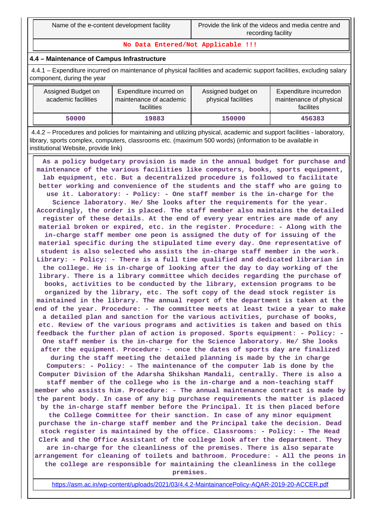**No Data Entered/Not Applicable !!!**

## **4.4 – Maintenance of Campus Infrastructure**

 4.4.1 – Expenditure incurred on maintenance of physical facilities and academic support facilities, excluding salary component, during the year

| Assigned Budget on<br>academic facilities | Expenditure incurred on<br>maintenance of academic<br>facilities | Assigned budget on<br>physical facilities | Expenditure incurredon<br>maintenance of physical<br>facilites |
|-------------------------------------------|------------------------------------------------------------------|-------------------------------------------|----------------------------------------------------------------|
| 50000                                     | 19883                                                            | 150000                                    | 456383                                                         |

 4.4.2 – Procedures and policies for maintaining and utilizing physical, academic and support facilities - laboratory, library, sports complex, computers, classrooms etc. (maximum 500 words) (information to be available in institutional Website, provide link)

 **As a policy budgetary provision is made in the annual budget for purchase and maintenance of the various facilities like computers, books, sports equipment, lab equipment, etc. But a decentralized procedure is followed to facilitate better working and convenience of the students and the staff who are going to use it. Laboratory: - Policy: - One staff member is the in-charge for the Science laboratory. He/ She looks after the requirements for the year. Accordingly, the order is placed. The staff member also maintains the detailed register of these details. At the end of every year entries are made of any material broken or expired, etc. in the register. Procedure: - Along with the in-charge staff member one peon is assigned the duty of for issuing of the material specific during the stipulated time every day. One representative of student is also selected who assists the in-charge staff member in the work. Library: - Policy: - There is a full time qualified and dedicated librarian in the college. He is in-charge of looking after the day to day working of the library. There is a library committee which decides regarding the purchase of books, activities to be conducted by the library, extension programs to be organized by the library, etc. The soft copy of the dead stock register is maintained in the library. The annual report of the department is taken at the end of the year. Procedure: - The committee meets at least twice a year to make a detailed plan and sanction for the various activities, purchase of books, etc. Review of the various programs and activities is taken and based on this feedback the further plan of action is proposed. Sports equipment: - Policy: - One staff member is the in-charge for the Science laboratory. He/ She looks after the equipment. Procedure: - once the dates of sports day are finalized during the staff meeting the detailed planning is made by the in charge Computers: - Policy: - The maintenance of the computer lab is done by the Computer Division of the Adarsha Shikshan Mandali, centrally. There is also a staff member of the college who is the in-charge and a non-teaching staff member who assists him. Procedure: - The annual maintenance contract is made by the parent body. In case of any big purchase requirements the matter is placed by the in-charge staff member before the Principal. It is then placed before the College Committee for their sanction. In case of any minor equipment purchase the in-charge staff member and the Principal take the decision. Dead stock register is maintained by the office. Classrooms: - Policy: - The Head Clerk and the Office Assistant of the college look after the department. They are in-charge for the cleanliness of the premises. There is also separate arrangement for cleaning of toilets and bathroom. Procedure: - All the peons in the college are responsible for maintaining the cleanliness in the college premises.**

<https://asm.ac.in/wp-content/uploads/2021/03/4.4.2-MaintainancePolicy-AQAR-2019-20-ACCER.pdf>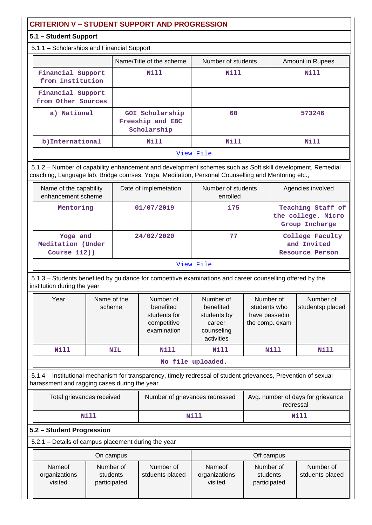# **CRITERION V – STUDENT SUPPORT AND PROGRESSION**

# **5.1 – Student Support**

5.1.1 – Scholarships and Financial Support

|                                         | Name/Title of the scheme                           | Number of students | Amount in Rupees |  |  |  |  |
|-----------------------------------------|----------------------------------------------------|--------------------|------------------|--|--|--|--|
| Financial Support<br>from institution   | Nill                                               | Nill               | Nill             |  |  |  |  |
| Financial Support<br>from Other Sources |                                                    |                    |                  |  |  |  |  |
| a) National                             | GOI Scholarship<br>Freeship and EBC<br>Scholarship | 60                 | 573246           |  |  |  |  |
| b) International                        | Nill                                               | Nill               | Nill             |  |  |  |  |
| View File                               |                                                    |                    |                  |  |  |  |  |

 5.1.2 – Number of capability enhancement and development schemes such as Soft skill development, Remedial coaching, Language lab, Bridge courses, Yoga, Meditation, Personal Counselling and Mentoring etc.,

| Name of the capability<br>enhancement scheme     | Date of implemetation | Number of students<br>enrolled | Agencies involved                                         |
|--------------------------------------------------|-----------------------|--------------------------------|-----------------------------------------------------------|
| Mentoring                                        | 01/07/2019            | 175                            | Teaching Staff of<br>the college. Micro<br>Group Incharge |
| Yoga and<br>Meditation (Under<br>Course $112)$ ) | 24/02/2020            | 77                             | College Faculty<br>and Invited<br>Resource Person         |
|                                                  |                       | View File                      |                                                           |

 5.1.3 – Students benefited by guidance for competitive examinations and career counselling offered by the institution during the year

| Year              | Name of the<br>scheme | Number of<br>benefited<br>students for<br>competitive<br>examination | Number of<br>benefited<br>students by<br>career<br>counseling<br>activities | Number of<br>students who<br>have passedin<br>the comp. exam | Number of<br>studentsp placed |
|-------------------|-----------------------|----------------------------------------------------------------------|-----------------------------------------------------------------------------|--------------------------------------------------------------|-------------------------------|
| Nill              | <b>NIL</b>            | Nill                                                                 | Nill                                                                        | Nill                                                         | Nill                          |
| No file uploaded. |                       |                                                                      |                                                                             |                                                              |                               |

 5.1.4 – Institutional mechanism for transparency, timely redressal of student grievances, Prevention of sexual harassment and ragging cases during the year

| Total grievances received | Number of grievances redressed | Avg. number of days for grievance<br>redressal |  |
|---------------------------|--------------------------------|------------------------------------------------|--|
| Nill                      | Nill                           | Nill                                           |  |

## **5.2 – Student Progression**

5.2.1 – Details of campus placement during the year

| On campus                          |                                       |                              | Off campus                                |                                       |                              |
|------------------------------------|---------------------------------------|------------------------------|-------------------------------------------|---------------------------------------|------------------------------|
| Nameof<br>organizations<br>visited | Number of<br>students<br>participated | Number of<br>stduents placed | <b>Nameof</b><br>organizations<br>visited | Number of<br>students<br>participated | Number of<br>stduents placed |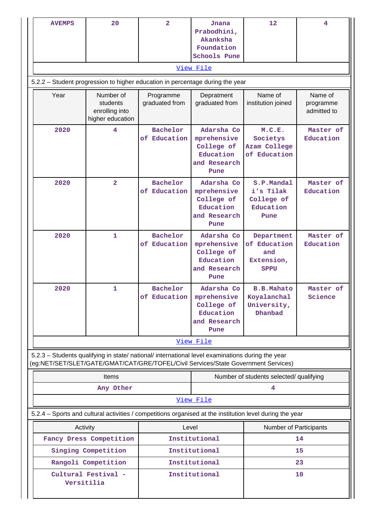|      | <b>AVEMPS</b> | 20                                                                                                                                                                                     | $\overline{a}$                         | Jnana<br>Prabodhini,<br>Akanksha<br>Foundation<br>Schools Pune               | 12                                                                                                       | 4                                   |
|------|---------------|----------------------------------------------------------------------------------------------------------------------------------------------------------------------------------------|----------------------------------------|------------------------------------------------------------------------------|----------------------------------------------------------------------------------------------------------|-------------------------------------|
|      |               |                                                                                                                                                                                        |                                        | View File                                                                    |                                                                                                          |                                     |
|      |               | 5.2.2 - Student progression to higher education in percentage during the year                                                                                                          |                                        |                                                                              |                                                                                                          |                                     |
| Year |               | Number of<br>students<br>enrolling into<br>higher education                                                                                                                            | Programme<br>graduated from            | Depratment<br>graduated from                                                 | Name of<br>institution joined                                                                            | Name of<br>programme<br>admitted to |
|      | 2020          | 4                                                                                                                                                                                      | Bachelor<br>of Education               | Adarsha Co<br>mprehensive<br>College of<br>Education<br>and Research<br>Pune | M.C.E.<br>Societys<br>Azam College<br>of Education                                                       | Master of<br>Education              |
|      | 2020          | $\overline{\mathbf{2}}$                                                                                                                                                                | Bachelor<br>of Education               | Adarsha Co<br>mprehensive<br>College of<br>Education<br>and Research<br>Pune | S.P.Mandal<br>i's Tilak<br>College of<br>Education<br>Pune                                               | Master of<br>Education              |
|      | 2020          | $\mathbf{1}$                                                                                                                                                                           | Bachelor<br>of Education               | Adarsha Co<br>mprehensive<br>College of<br>Education<br>and Research<br>Pune | Department<br>of Education<br>and<br>Extension,<br><b>SPPU</b>                                           | Master of<br>Education              |
|      | 2020          | 1                                                                                                                                                                                      | Bachelor<br>of Education   mprehensive | Adarsha Co<br>College of<br>Education<br>and Research<br>Pune                | <b>B.B.Mahato</b><br>Koyalanchal<br>University,<br>Dhanbad                                               | Master of<br>Science                |
|      |               |                                                                                                                                                                                        |                                        | View File                                                                    |                                                                                                          |                                     |
|      |               | 5.2.3 - Students qualifying in state/ national/ international level examinations during the year<br>(eg:NET/SET/SLET/GATE/GMAT/CAT/GRE/TOFEL/Civil Services/State Government Services) |                                        |                                                                              |                                                                                                          |                                     |
|      |               | <b>Items</b>                                                                                                                                                                           |                                        |                                                                              | Number of students selected/ qualifying                                                                  |                                     |
|      |               | Any Other                                                                                                                                                                              |                                        |                                                                              | 4                                                                                                        |                                     |
|      |               |                                                                                                                                                                                        |                                        | View File                                                                    |                                                                                                          |                                     |
|      |               |                                                                                                                                                                                        |                                        |                                                                              | 5.2.4 - Sports and cultural activities / competitions organised at the institution level during the year |                                     |
|      | Activity      |                                                                                                                                                                                        | Level                                  |                                                                              | Number of Participants                                                                                   |                                     |
|      |               | Fancy Dress Competition                                                                                                                                                                |                                        | Institutional                                                                |                                                                                                          | 14                                  |
|      |               | Singing Competition<br>Rangoli Competition                                                                                                                                             |                                        | Institutional<br>Institutional                                               |                                                                                                          | 15                                  |
|      | Versitilia    | Cultural Festival -                                                                                                                                                                    |                                        | Institutional                                                                | 23<br>10                                                                                                 |                                     |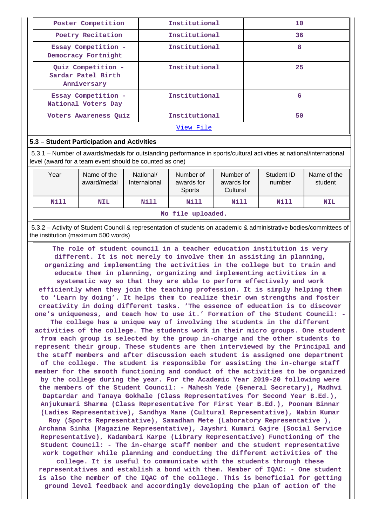| Poster Competition                                      | Institutional | 10 |  |
|---------------------------------------------------------|---------------|----|--|
| Poetry Recitation                                       | Institutional | 36 |  |
| Essay Competition -<br>Democracy Fortnight              | Institutional | 8  |  |
| Quiz Competition -<br>Sardar Patel Birth<br>Anniversary | Institutional | 25 |  |
| Essay Competition -<br>National Voters Day              | Institutional | 6  |  |
| Voters Awareness Quiz                                   | Institutional | 50 |  |
| View File                                               |               |    |  |

## **5.3 – Student Participation and Activities**

 5.3.1 – Number of awards/medals for outstanding performance in sports/cultural activities at national/international level (award for a team event should be counted as one)

| Year              | Name of the<br>award/medal | National/<br>Internaional | Number of<br>awards for<br><b>Sports</b> | Number of<br>awards for<br>Cultural | Student ID<br>number | Name of the<br>student |
|-------------------|----------------------------|---------------------------|------------------------------------------|-------------------------------------|----------------------|------------------------|
| Nill              | <b>NIL</b>                 | Nill                      | Nill                                     | Nill                                | Nill                 | <b>NIL</b>             |
| No file uploaded. |                            |                           |                                          |                                     |                      |                        |

 5.3.2 – Activity of Student Council & representation of students on academic & administrative bodies/committees of the institution (maximum 500 words)

 **The role of student council in a teacher education institution is very different. It is not merely to involve them in assisting in planning, organizing and implementing the activities in the college but to train and educate them in planning, organizing and implementing activities in a systematic way so that they are able to perform effectively and work efficiently when they join the teaching profession. It is simply helping them to 'Learn by doing'. It helps them to realize their own strengths and foster creativity in doing different tasks. 'The essence of education is to discover one's uniqueness, and teach how to use it.' Formation of the Student Council: - The college has a unique way of involving the students in the different activities of the college. The students work in their micro groups. One student from each group is selected by the group in-charge and the other students to represent their group. These students are then interviewed by the Principal and the staff members and after discussion each student is assigned one department of the college. The student is responsible for assisting the in-charge staff member for the smooth functioning and conduct of the activities to be organized by the college during the year. For the Academic Year 2019-20 following were the members of the Student Council: - Mahesh Yede (General Secretary), Madhvi Daptardar and Tanaya Gokhale (Class Representatives for Second Year B.Ed.), Anjukumari Sharma (Class Representative for First Year B.Ed.), Poonam Binnar (Ladies Representative), Sandhya Mane (Cultural Representative), Nabin Kumar Roy (Sports Representative), Samadhan Mete (Laboratory Representative ), Archana Sinha (Magazine Representative), Jayshri Kumari Gajre (Social Service Representative), Kadambari Karpe (Library Representative) Functioning of the Student Council: - The in-charge staff member and the student representative work together while planning and conducting the different activities of the college. It is useful to communicate with the students through these representatives and establish a bond with them. Member of IQAC: - One student**

**is also the member of the IQAC of the college. This is beneficial for getting ground level feedback and accordingly developing the plan of action of the**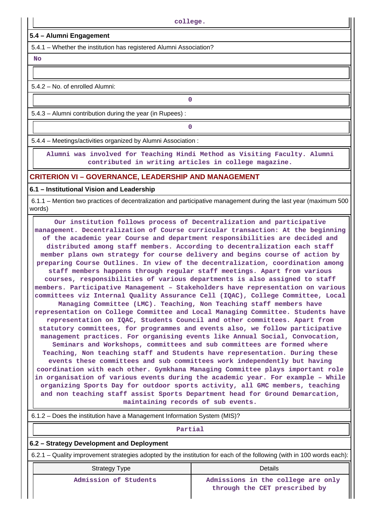### **5.4 – Alumni Engagement**

5.4.1 – Whether the institution has registered Alumni Association?

 **No**

5.4.2 – No. of enrolled Alumni:

5.4.3 – Alumni contribution during the year (in Rupees) :

**0**

**0**

5.4.4 – Meetings/activities organized by Alumni Association :

 **Alumni was involved for Teaching Hindi Method as Visiting Faculty. Alumni contributed in writing articles in college magazine.**

## **CRITERION VI – GOVERNANCE, LEADERSHIP AND MANAGEMENT**

#### **6.1 – Institutional Vision and Leadership**

 6.1.1 – Mention two practices of decentralization and participative management during the last year (maximum 500 words)

 **Our institution follows process of Decentralization and participative management. Decentralization of Course curricular transaction: At the beginning of the academic year Course and department responsibilities are decided and distributed among staff members. According to decentralization each staff member plans own strategy for course delivery and begins course of action by preparing Course Outlines. In view of the decentralization, coordination among staff members happens through regular staff meetings. Apart from various courses, responsibilities of various departments is also assigned to staff members. Participative Management – Stakeholders have representation on various committees viz Internal Quality Assurance Cell (IQAC), College Committee, Local Managing Committee (LMC). Teaching, Non Teaching staff members have representation on College Committee and Local Managing Committee. Students have representation on IQAC, Students Council and other committees. Apart from statutory committees, for programmes and events also, we follow participative management practices. For organising events like Annual Social, Convocation, Seminars and Workshops, committees and sub committees are formed where Teaching, Non teaching staff and Students have representation. During these events these committees and sub committees work independently but having coordination with each other. Gymkhana Managing Committee plays important role in organisation of various events during the academic year. For example – While organizing Sports Day for outdoor sports activity, all GMC members, teaching and non teaching staff assist Sports Department head for Ground Demarcation, maintaining records of sub events.**

|  | 6.1.2 – Does the institution have a Management Information System (MIS)? |
|--|--------------------------------------------------------------------------|
|  |                                                                          |

# **Partial**

#### **6.2 – Strategy Development and Deployment**

6.2.1 – Quality improvement strategies adopted by the institution for each of the following (with in 100 words each):

| <b>Strategy Type</b>           | Details                              |
|--------------------------------|--------------------------------------|
| $\lambda$ dmingion of Ctudonta | $\lambda$ dmiaciona in the $\lambda$ |

Admission of Students **Admissions** in the college are only **through the CET prescribed by**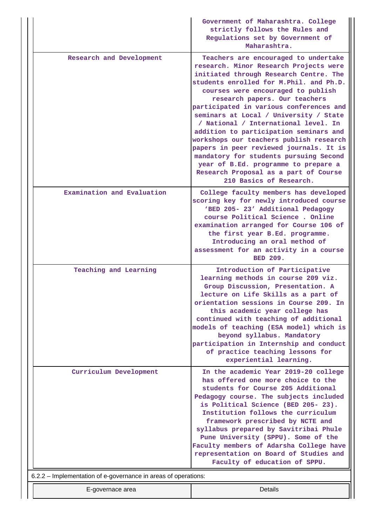|                                                                | Government of Maharashtra. College<br>strictly follows the Rules and<br>Regulations set by Government of<br>Maharashtra.                                                                                                                                                                                                                                                                                                                                                                                                                                                                                                                                       |
|----------------------------------------------------------------|----------------------------------------------------------------------------------------------------------------------------------------------------------------------------------------------------------------------------------------------------------------------------------------------------------------------------------------------------------------------------------------------------------------------------------------------------------------------------------------------------------------------------------------------------------------------------------------------------------------------------------------------------------------|
| Research and Development                                       | Teachers are encouraged to undertake<br>research. Minor Research Projects were<br>initiated through Research Centre. The<br>students enrolled for M. Phil. and Ph.D.<br>courses were encouraged to publish<br>research papers. Our teachers<br>participated in various conferences and<br>seminars at Local / University / State<br>/ National / International level. In<br>addition to participation seminars and<br>workshops our teachers publish research<br>papers in peer reviewed journals. It is<br>mandatory for students pursuing Second<br>year of B.Ed. programme to prepare a<br>Research Proposal as a part of Course<br>210 Basics of Research. |
| Examination and Evaluation                                     | College faculty members has developed<br>scoring key for newly introduced course<br>'BED 205- 23' Additional Pedagogy<br>course Political Science . Online<br>examination arranged for Course 106 of<br>the first year B.Ed. programme.<br>Introducing an oral method of<br>assessment for an activity in a course<br><b>BED 209.</b>                                                                                                                                                                                                                                                                                                                          |
| Teaching and Learning                                          | Introduction of Participative<br>learning methods in course 209 viz.<br>Group Discussion, Presentation. A<br>lecture on Life Skills as a part of<br>orientation sessions in Course 209. In<br>this academic year college has<br>continued with teaching of additional<br>models of teaching (ESA model) which is<br>beyond syllabus. Mandatory<br>participation in Internship and conduct<br>of practice teaching lessons for<br>experiential learning.                                                                                                                                                                                                        |
| Curriculum Development                                         | In the academic Year 2019-20 college<br>has offered one more choice to the<br>students for Course 205 Additional<br>Pedagogy course. The subjects included<br>is Political Science (BED 205- 23).<br>Institution follows the curriculum<br>framework prescribed by NCTE and<br>syllabus prepared by Savitribai Phule<br>Pune University (SPPU). Some of the<br>Faculty members of Adarsha College have<br>representation on Board of Studies and<br>Faculty of education of SPPU.                                                                                                                                                                              |
| 6.2.2 - Implementation of e-governance in areas of operations: |                                                                                                                                                                                                                                                                                                                                                                                                                                                                                                                                                                                                                                                                |
| E-governace area                                               | Details                                                                                                                                                                                                                                                                                                                                                                                                                                                                                                                                                                                                                                                        |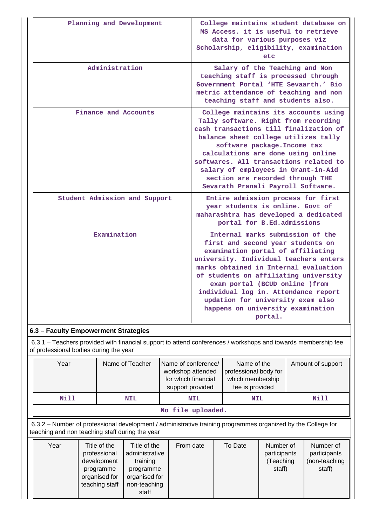| Administration<br>Salary of the Teaching and Non<br>teaching staff is processed through<br>Government Portal 'HTE Sevaarth.' Bio<br>metric attendance of teaching and non<br>teaching staff and students also.<br>Finance and Accounts<br>College maintains its accounts using<br>Tally software. Right from recording<br>cash transactions till finalization of<br>balance sheet college utilizes tally<br>software package. Income tax<br>calculations are done using online<br>softwares. All transactions related to<br>salary of employees in Grant-in-Aid<br>section are recorded through THE<br>Sevarath Pranali Payroll Software.<br>Student Admission and Support<br>Entire admission process for first<br>year students is online. Govt of<br>maharashtra has developed a dedicated<br>portal for B.Ed.admissions<br>Examination<br>Internal marks submission of the<br>first and second year students on<br>examination portal of affiliating<br>university. Individual teachers enters<br>marks obtained in Internal evaluation<br>of students on affiliating university<br>exam portal (BCUD online ) from<br>individual log in. Attendance report<br>updation for university exam also<br>happens on university examination | Planning and Development | College maintains student database on<br>MS Access, it is useful to retrieve<br>data for various purposes viz<br>Scholarship, eligibility, examination<br>etc |
|-------------------------------------------------------------------------------------------------------------------------------------------------------------------------------------------------------------------------------------------------------------------------------------------------------------------------------------------------------------------------------------------------------------------------------------------------------------------------------------------------------------------------------------------------------------------------------------------------------------------------------------------------------------------------------------------------------------------------------------------------------------------------------------------------------------------------------------------------------------------------------------------------------------------------------------------------------------------------------------------------------------------------------------------------------------------------------------------------------------------------------------------------------------------------------------------------------------------------------------------|--------------------------|---------------------------------------------------------------------------------------------------------------------------------------------------------------|
|                                                                                                                                                                                                                                                                                                                                                                                                                                                                                                                                                                                                                                                                                                                                                                                                                                                                                                                                                                                                                                                                                                                                                                                                                                           |                          |                                                                                                                                                               |
|                                                                                                                                                                                                                                                                                                                                                                                                                                                                                                                                                                                                                                                                                                                                                                                                                                                                                                                                                                                                                                                                                                                                                                                                                                           |                          |                                                                                                                                                               |
|                                                                                                                                                                                                                                                                                                                                                                                                                                                                                                                                                                                                                                                                                                                                                                                                                                                                                                                                                                                                                                                                                                                                                                                                                                           |                          |                                                                                                                                                               |
| portal.                                                                                                                                                                                                                                                                                                                                                                                                                                                                                                                                                                                                                                                                                                                                                                                                                                                                                                                                                                                                                                                                                                                                                                                                                                   |                          |                                                                                                                                                               |

 6.3.1 – Teachers provided with financial support to attend conferences / workshops and towards membership fee of professional bodies during the year

| Year                                                                                                                                                            |                                                                           | Name of Teacher                                                          | Name of conference/<br>workshop attended<br>for which financial<br>support provided | Name of the<br>professional body for<br>which membership<br>fee is provided |                                                  |  | Amount of support                                    |
|-----------------------------------------------------------------------------------------------------------------------------------------------------------------|---------------------------------------------------------------------------|--------------------------------------------------------------------------|-------------------------------------------------------------------------------------|-----------------------------------------------------------------------------|--------------------------------------------------|--|------------------------------------------------------|
| <b>Nill</b>                                                                                                                                                     |                                                                           | <b>NIL</b>                                                               | <b>NIL</b>                                                                          | <b>NIL</b>                                                                  |                                                  |  | Nill                                                 |
|                                                                                                                                                                 |                                                                           |                                                                          | No file uploaded.                                                                   |                                                                             |                                                  |  |                                                      |
| 6.3.2 – Number of professional development / administrative training programmes organized by the College for<br>teaching and non teaching staff during the year |                                                                           |                                                                          |                                                                                     |                                                                             |                                                  |  |                                                      |
| Year                                                                                                                                                            | Title of the<br>professional<br>development<br>programme<br>organised for | Title of the<br>administrative<br>training<br>programme<br>organised for | From date                                                                           | To Date                                                                     | Number of<br>participants<br>(Teaching<br>staff) |  | Number of<br>participants<br>(non-teaching<br>staff) |

teaching staff

non-teaching staff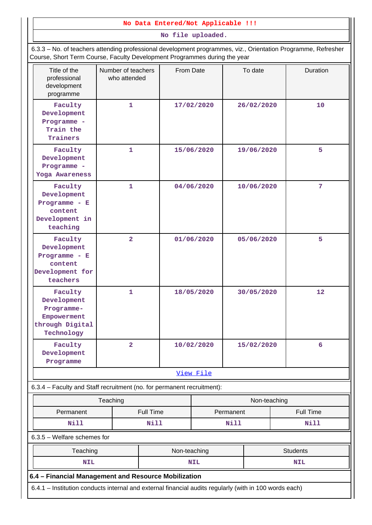### **No Data Entered/Not Applicable !!!**

**No file uploaded.**

 6.3.3 – No. of teachers attending professional development programmes, viz., Orientation Programme, Refresher Course, Short Term Course, Faculty Development Programmes during the year

| Title of the<br>professional<br>development<br>programme                                               | Number of teachers<br>who attended | From Date    |                          |            | To date          | Duration        |
|--------------------------------------------------------------------------------------------------------|------------------------------------|--------------|--------------------------|------------|------------------|-----------------|
| Faculty<br>Development<br>Programme -<br>Train the<br>Trainers                                         | $\mathbf{1}$                       |              | 17/02/2020               |            | 26/02/2020       | 10              |
| Faculty<br>Development<br>Programme -<br>Yoga Awareness                                                | 1                                  |              | 15/06/2020               |            | 19/06/2020       | 5               |
| Faculty<br>Development<br>Programme - $E$<br>content<br>Development in<br>teaching                     | $\mathbf{1}$                       |              | 04/06/2020               |            | 10/06/2020       | 7               |
| Faculty<br>Development<br>Programme - $E$<br>content<br>Development for<br>teachers                    | $\overline{2}$                     |              | 01/06/2020<br>05/06/2020 |            | 5                |                 |
| Faculty<br>Development<br>Programme-<br>Empowerment<br>through Digital<br>Technology                   | 1                                  |              | 18/05/2020               | 30/05/2020 |                  | 12              |
| Faculty<br>Development<br>Programme                                                                    | $\overline{\mathbf{2}}$            | 10/02/2020   |                          |            | 15/02/2020       | 6               |
|                                                                                                        |                                    |              | View File                |            |                  |                 |
| 6.3.4 - Faculty and Staff recruitment (no. for permanent recruitment):                                 | Teaching                           |              |                          |            | Non-teaching     |                 |
| Permanent                                                                                              | Full Time<br>Permanent             |              |                          |            | <b>Full Time</b> |                 |
| <b>Nill</b>                                                                                            |                                    | Nill         | Nill                     |            |                  | Nill            |
| $6.3.5$ – Welfare schemes for                                                                          |                                    |              |                          |            |                  |                 |
| Teaching                                                                                               |                                    | Non-teaching |                          |            |                  | <b>Students</b> |
| <b>NIL</b>                                                                                             |                                    |              | <b>NIL</b>               |            |                  | <b>NIL</b>      |
| 6.4 - Financial Management and Resource Mobilization                                                   |                                    |              |                          |            |                  |                 |
| 6.4.1 - Institution conducts internal and external financial audits regularly (with in 100 words each) |                                    |              |                          |            |                  |                 |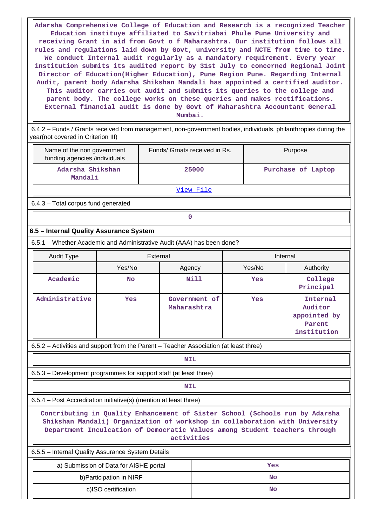**Adarsha Comprehensive College of Education and Research is a recognized Teacher Education instituye affiliated to Savitriabai Phule Pune University and receiving Grant in aid from Govt o f Maharashtra. Our institution follows all rules and regulations laid down by Govt, university and NCTE from time to time. We conduct Internal audit regularly as a mandatory requirement. Every year institution submits its audited report by 31st July to concerned Regional Joint Director of Education(Higher Education), Pune Region Pune. Regarding Internal Audit, parent body Adarsha Shikshan Mandali has appointed a certified auditor. This auditor carries out audit and submits its queries to the college and parent body. The college works on these queries and makes rectifications. External financial audit is done by Govt of Maharashtra Accountant General Mumbai.**

 6.4.2 – Funds / Grants received from management, non-government bodies, individuals, philanthropies during the year(not covered in Criterion III)

| Name of the non government<br>funding agencies /individuals | Funds/ Grnats received in Rs. | Purpose            |
|-------------------------------------------------------------|-------------------------------|--------------------|
| Adarsha Shikshan<br>Mandali                                 | 25000                         | Purchase of Laptop |
|                                                             | View File                     |                    |

6.4.3 – Total corpus fund generated

# **0**

### **6.5 – Internal Quality Assurance System**

6.5.1 – Whether Academic and Administrative Audit (AAA) has been done?

| <b>Audit Type</b> | External  |                              | Internal |                                                              |  |
|-------------------|-----------|------------------------------|----------|--------------------------------------------------------------|--|
|                   | Yes/No    | Agency                       | Yes/No   | Authority                                                    |  |
| Academic          | <b>No</b> | <b>Nill</b>                  | Yes      | College<br>Principal                                         |  |
| Administrative    | Yes       | Government of<br>Maharashtra | Yes      | Internal<br>Auditor<br>appointed by<br>Parent<br>institution |  |

6.5.2 – Activities and support from the Parent – Teacher Association (at least three)

**NIL** 

6.5.3 – Development programmes for support staff (at least three)

## **NIL**

6.5.4 – Post Accreditation initiative(s) (mention at least three)

 **Contributing in Quality Enhancement of Sister School (Schools run by Adarsha Shikshan Mandali) Organization of workshop in collaboration with University Department Inculcation of Democratic Values among Student teachers through activities**

6.5.5 – Internal Quality Assurance System Details

| a) Submission of Data for AISHE portal | Yes |
|----------------------------------------|-----|
| b) Participation in NIRF               | No  |
| c)ISO certification                    | No  |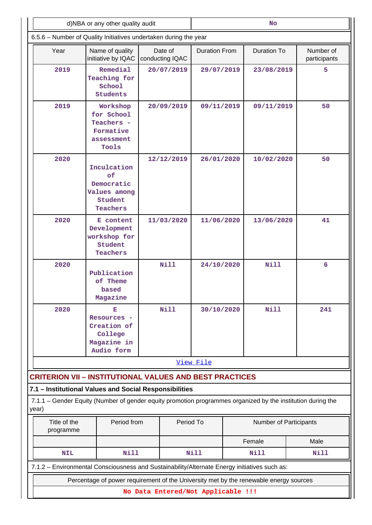|                                                                  | d)NBA or any other quality audit                                                                            |                            | <b>No</b>                                  |            |                           |  |  |
|------------------------------------------------------------------|-------------------------------------------------------------------------------------------------------------|----------------------------|--------------------------------------------|------------|---------------------------|--|--|
| 6.5.6 - Number of Quality Initiatives undertaken during the year |                                                                                                             |                            |                                            |            |                           |  |  |
| Year                                                             | Name of quality<br>initiative by IQAC                                                                       | Date of<br>conducting IQAC | <b>Duration To</b><br><b>Duration From</b> |            | Number of<br>participants |  |  |
| 2019                                                             | Remedial<br>Teaching for<br>School<br><b>Students</b>                                                       | 20/07/2019                 | 29/07/2019                                 | 23/08/2019 |                           |  |  |
| 2019                                                             | Workshop<br>for School<br>Teachers -<br>Formative<br>assessment<br>Tools                                    | 20/09/2019                 | 09/11/2019                                 | 09/11/2019 | 50                        |  |  |
| 2020                                                             | Inculcation<br>оf<br>Democratic<br>Values among<br>Student<br>Teachers                                      | 12/12/2019                 | 26/01/2020                                 | 10/02/2020 | 50                        |  |  |
| 2020                                                             | E content<br>Development<br>workshop for<br>Student<br>Teachers                                             | 11/03/2020                 | 11/06/2020                                 | 13/06/2020 | 41                        |  |  |
| 2020                                                             | Publication<br>of Theme<br>based<br>Magazine                                                                | Nill                       | 24/10/2020                                 | Nill       | 6                         |  |  |
| 2020                                                             | Е<br>Resources -<br>Creation of<br>College<br>Magazine in<br>Audio form                                     | <b>Nill</b>                | 30/10/2020<br>Nill                         |            | 241                       |  |  |
|                                                                  |                                                                                                             |                            | View File                                  |            |                           |  |  |
| <b>CRITERION VII - INSTITUTIONAL VALUES AND BEST PRACTICES</b>   |                                                                                                             |                            |                                            |            |                           |  |  |
| 7.1 - Institutional Values and Social Responsibilities           |                                                                                                             |                            |                                            |            |                           |  |  |
| year)                                                            | 7.1.1 - Gender Equity (Number of gender equity promotion programmes organized by the institution during the |                            |                                            |            |                           |  |  |
| Title of the<br>programme                                        | Period from                                                                                                 |                            | Period To<br>Number of Participants        |            |                           |  |  |
|                                                                  |                                                                                                             |                            | Female<br>Male                             |            |                           |  |  |
| <b>NIL</b>                                                       | <b>Nill</b>                                                                                                 |                            | <b>Nill</b><br>Nill<br>Nill                |            |                           |  |  |
|                                                                  | 7.1.2 - Environmental Consciousness and Sustainability/Alternate Energy initiatives such as:                |                            |                                            |            |                           |  |  |
|                                                                  | Percentage of power requirement of the University met by the renewable energy sources                       |                            |                                            |            |                           |  |  |
|                                                                  |                                                                                                             |                            | No Data Entered/Not Applicable !!!         |            |                           |  |  |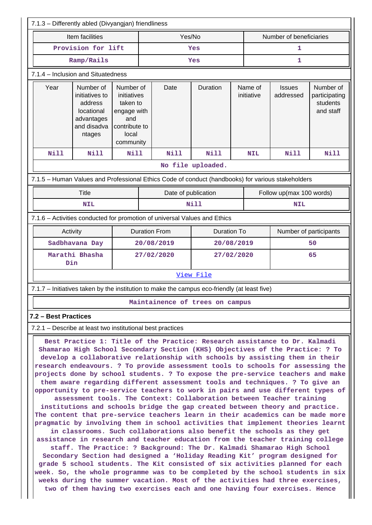| 7.1.3 - Differently abled (Divyangjan) friendliness                                               |                                                                                                                                                                                                                                                                                                                                                                                                                                                                                                                                                                                                                                                                                                                                                                                                                                                                                                                                                                                                                                                                                                                                                                                                                                                                                                                                                                                                                                                                                                                                                                               |                                                                                                   |                                            |                                 |                   |                        |                          |                            |                                                     |  |
|---------------------------------------------------------------------------------------------------|-------------------------------------------------------------------------------------------------------------------------------------------------------------------------------------------------------------------------------------------------------------------------------------------------------------------------------------------------------------------------------------------------------------------------------------------------------------------------------------------------------------------------------------------------------------------------------------------------------------------------------------------------------------------------------------------------------------------------------------------------------------------------------------------------------------------------------------------------------------------------------------------------------------------------------------------------------------------------------------------------------------------------------------------------------------------------------------------------------------------------------------------------------------------------------------------------------------------------------------------------------------------------------------------------------------------------------------------------------------------------------------------------------------------------------------------------------------------------------------------------------------------------------------------------------------------------------|---------------------------------------------------------------------------------------------------|--------------------------------------------|---------------------------------|-------------------|------------------------|--------------------------|----------------------------|-----------------------------------------------------|--|
| Item facilities                                                                                   |                                                                                                                                                                                                                                                                                                                                                                                                                                                                                                                                                                                                                                                                                                                                                                                                                                                                                                                                                                                                                                                                                                                                                                                                                                                                                                                                                                                                                                                                                                                                                                               |                                                                                                   |                                            | Yes/No                          |                   |                        |                          | Number of beneficiaries    |                                                     |  |
| Provision for lift                                                                                |                                                                                                                                                                                                                                                                                                                                                                                                                                                                                                                                                                                                                                                                                                                                                                                                                                                                                                                                                                                                                                                                                                                                                                                                                                                                                                                                                                                                                                                                                                                                                                               |                                                                                                   | Yes                                        |                                 |                   | 1                      |                          |                            |                                                     |  |
| Ramp/Rails                                                                                        |                                                                                                                                                                                                                                                                                                                                                                                                                                                                                                                                                                                                                                                                                                                                                                                                                                                                                                                                                                                                                                                                                                                                                                                                                                                                                                                                                                                                                                                                                                                                                                               |                                                                                                   |                                            |                                 | Yes               |                        | 1                        |                            |                                                     |  |
| 7.1.4 - Inclusion and Situatedness                                                                |                                                                                                                                                                                                                                                                                                                                                                                                                                                                                                                                                                                                                                                                                                                                                                                                                                                                                                                                                                                                                                                                                                                                                                                                                                                                                                                                                                                                                                                                                                                                                                               |                                                                                                   |                                            |                                 |                   |                        |                          |                            |                                                     |  |
| Year                                                                                              | Number of<br>initiatives to<br>address<br>locational<br>advantages<br>and disadva<br>ntages                                                                                                                                                                                                                                                                                                                                                                                                                                                                                                                                                                                                                                                                                                                                                                                                                                                                                                                                                                                                                                                                                                                                                                                                                                                                                                                                                                                                                                                                                   | Number of<br>initiatives<br>taken to<br>engage with<br>and<br>contribute to<br>local<br>community |                                            | Date                            | Duration          | Name of<br>initiative  |                          | <b>Issues</b><br>addressed | Number of<br>participating<br>students<br>and staff |  |
| Nill                                                                                              | Nill                                                                                                                                                                                                                                                                                                                                                                                                                                                                                                                                                                                                                                                                                                                                                                                                                                                                                                                                                                                                                                                                                                                                                                                                                                                                                                                                                                                                                                                                                                                                                                          | <b>Nill</b>                                                                                       |                                            | <b>Nill</b>                     | Nill              |                        | <b>NIL</b>               | <b>Nill</b>                | Nill                                                |  |
|                                                                                                   |                                                                                                                                                                                                                                                                                                                                                                                                                                                                                                                                                                                                                                                                                                                                                                                                                                                                                                                                                                                                                                                                                                                                                                                                                                                                                                                                                                                                                                                                                                                                                                               |                                                                                                   |                                            |                                 | No file uploaded. |                        |                          |                            |                                                     |  |
| 7.1.5 - Human Values and Professional Ethics Code of conduct (handbooks) for various stakeholders |                                                                                                                                                                                                                                                                                                                                                                                                                                                                                                                                                                                                                                                                                                                                                                                                                                                                                                                                                                                                                                                                                                                                                                                                                                                                                                                                                                                                                                                                                                                                                                               |                                                                                                   |                                            |                                 |                   |                        |                          |                            |                                                     |  |
|                                                                                                   | <b>Title</b>                                                                                                                                                                                                                                                                                                                                                                                                                                                                                                                                                                                                                                                                                                                                                                                                                                                                                                                                                                                                                                                                                                                                                                                                                                                                                                                                                                                                                                                                                                                                                                  |                                                                                                   |                                            | Date of publication             |                   |                        | Follow up(max 100 words) |                            |                                                     |  |
|                                                                                                   | <b>NIL</b>                                                                                                                                                                                                                                                                                                                                                                                                                                                                                                                                                                                                                                                                                                                                                                                                                                                                                                                                                                                                                                                                                                                                                                                                                                                                                                                                                                                                                                                                                                                                                                    |                                                                                                   | Nill                                       |                                 |                   | <b>NIL</b>             |                          |                            |                                                     |  |
| 7.1.6 - Activities conducted for promotion of universal Values and Ethics                         |                                                                                                                                                                                                                                                                                                                                                                                                                                                                                                                                                                                                                                                                                                                                                                                                                                                                                                                                                                                                                                                                                                                                                                                                                                                                                                                                                                                                                                                                                                                                                                               |                                                                                                   |                                            |                                 |                   |                        |                          |                            |                                                     |  |
| Activity                                                                                          |                                                                                                                                                                                                                                                                                                                                                                                                                                                                                                                                                                                                                                                                                                                                                                                                                                                                                                                                                                                                                                                                                                                                                                                                                                                                                                                                                                                                                                                                                                                                                                               |                                                                                                   | <b>Duration From</b><br><b>Duration To</b> |                                 |                   | Number of participants |                          |                            |                                                     |  |
| Sadbhavana Day                                                                                    |                                                                                                                                                                                                                                                                                                                                                                                                                                                                                                                                                                                                                                                                                                                                                                                                                                                                                                                                                                                                                                                                                                                                                                                                                                                                                                                                                                                                                                                                                                                                                                               |                                                                                                   | 20/08/2019<br>20/08/2019                   |                                 |                   |                        | 50                       |                            |                                                     |  |
| Marathi Bhasha<br>Din                                                                             |                                                                                                                                                                                                                                                                                                                                                                                                                                                                                                                                                                                                                                                                                                                                                                                                                                                                                                                                                                                                                                                                                                                                                                                                                                                                                                                                                                                                                                                                                                                                                                               |                                                                                                   | 27/02/2020                                 |                                 | 27/02/2020        |                        | 65                       |                            |                                                     |  |
|                                                                                                   |                                                                                                                                                                                                                                                                                                                                                                                                                                                                                                                                                                                                                                                                                                                                                                                                                                                                                                                                                                                                                                                                                                                                                                                                                                                                                                                                                                                                                                                                                                                                                                               |                                                                                                   |                                            |                                 | View File         |                        |                          |                            |                                                     |  |
| 7.1.7 – Initiatives taken by the institution to make the campus eco-friendly (at least five)      |                                                                                                                                                                                                                                                                                                                                                                                                                                                                                                                                                                                                                                                                                                                                                                                                                                                                                                                                                                                                                                                                                                                                                                                                                                                                                                                                                                                                                                                                                                                                                                               |                                                                                                   |                                            |                                 |                   |                        |                          |                            |                                                     |  |
|                                                                                                   |                                                                                                                                                                                                                                                                                                                                                                                                                                                                                                                                                                                                                                                                                                                                                                                                                                                                                                                                                                                                                                                                                                                                                                                                                                                                                                                                                                                                                                                                                                                                                                               |                                                                                                   |                                            | Maintainence of trees on campus |                   |                        |                          |                            |                                                     |  |
| 7.2 - Best Practices                                                                              |                                                                                                                                                                                                                                                                                                                                                                                                                                                                                                                                                                                                                                                                                                                                                                                                                                                                                                                                                                                                                                                                                                                                                                                                                                                                                                                                                                                                                                                                                                                                                                               |                                                                                                   |                                            |                                 |                   |                        |                          |                            |                                                     |  |
| 7.2.1 - Describe at least two institutional best practices                                        |                                                                                                                                                                                                                                                                                                                                                                                                                                                                                                                                                                                                                                                                                                                                                                                                                                                                                                                                                                                                                                                                                                                                                                                                                                                                                                                                                                                                                                                                                                                                                                               |                                                                                                   |                                            |                                 |                   |                        |                          |                            |                                                     |  |
|                                                                                                   | Best Practice 1: Title of the Practice: Research assistance to Dr. Kalmadi<br>Shamarao High School Secondary Section (KHS) Objectives of the Practice: ? To<br>develop a collaborative relationship with schools by assisting them in their<br>research endeavours. ? To provide assessment tools to schools for assessing the<br>projects done by school students. ? To expose the pre-service teachers and make<br>them aware regarding different assessment tools and techniques. ? To give an<br>opportunity to pre-service teachers to work in pairs and use different types of<br>assessment tools. The Context: Collaboration between Teacher training<br>institutions and schools bridge the gap created between theory and practice.<br>The content that pre-service teachers learn in their academics can be made more<br>pragmatic by involving them in school activities that implement theories learnt<br>in classrooms. Such collaborations also benefit the schools as they get<br>assistance in research and teacher education from the teacher training college<br>staff. The Practice: ? Background: The Dr. Kalmadi Shamarao High School<br>Secondary Section had designed a 'Holiday Reading Kit' program designed for<br>grade 5 school students. The Kit consisted of six activities planned for each<br>week. So, the whole programme was to be completed by the school students in six<br>weeks during the summer vacation. Most of the activities had three exercises,<br>two of them having two exercises each and one having four exercises. Hence |                                                                                                   |                                            |                                 |                   |                        |                          |                            |                                                     |  |

 $\blacksquare$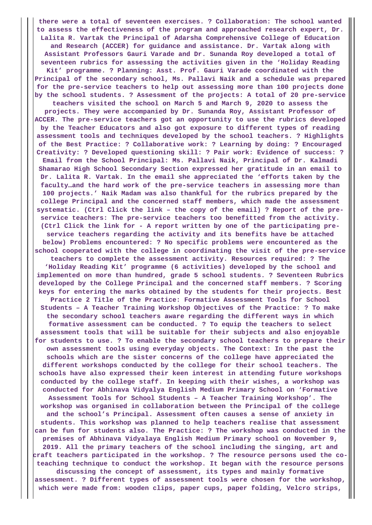**there were a total of seventeen exercises. ? Collaboration: The school wanted to assess the effectiveness of the program and approached research expert, Dr. Lalita R. Vartak the Principal of Adarsha Comprehensive College of Education and Research (ACCER) for guidance and assistance. Dr. Vartak along with Assistant Professors Gauri Varade and Dr. Sunanda Roy developed a total of seventeen rubrics for assessing the activities given in the 'Holiday Reading Kit' programme. ? Planning: Asst. Prof. Gauri Varade coordinated with the Principal of the secondary school, Ms. Pallavi Naik and a schedule was prepared for the pre-service teachers to help out assessing more than 100 projects done by the school students. ? Assessment of the projects: A total of 20 pre-service teachers visited the school on March 5 and March 9, 2020 to assess the projects. They were accompanied by Dr. Sunanda Roy, Assistant Professor of ACCER. The pre-service teachers got an opportunity to use the rubrics developed by the Teacher Educators and also got exposure to different types of reading assessment tools and techniques developed by the school teachers. ? Highlights of the Best Practice: ? Collaborative work: ? Learning by doing: ? Encouraged Creativity: ? Developed questioning skill: ? Pair work: Evidence of success: ? Email from the School Principal: Ms. Pallavi Naik, Principal of Dr. Kalmadi Shamarao High School Secondary Section expressed her gratitude in an email to Dr. Lalita R. Vartak. In the email she appreciated the 'efforts taken by the faculty…and the hard work of the pre-service teachers in assessing more than 100 projects.' Naik Madam was also thankful for the rubrics prepared by the college Principal and the concerned staff members, which made the assessment systematic. (Ctrl Click the link – the copy of the email) ? Report of the preservice teachers: The pre-service teachers too benefitted from the activity. (Ctrl Click the link for - A report written by one of the participating preservice teachers regarding the activity and its benefits have be attached below) Problems encountered: ? No specific problems were encountered as the school cooperated with the college in coordinating the visit of the pre-service teachers to complete the assessment activity. Resources required: ? The 'Holiday Reading Kit' programme (6 activities) developed by the school and implemented on more than hundred, grade 5 school students. ? Seventeen Rubrics developed by the College Principal and the concerned staff members. ? Scoring keys for entering the marks obtained by the students for their projects. Best Practice 2 Title of the Practice: Formative Assessment Tools for School Students – A Teacher Training Workshop Objectives of the Practice: ? To make the secondary school teachers aware regarding the different ways in which formative assessment can be conducted. ? To equip the teachers to select assessment tools that will be suitable for their subjects and also enjoyable for students to use. ? To enable the secondary school teachers to prepare their own assessment tools using everyday objects. The Context: In the past the schools which are the sister concerns of the college have appreciated the different workshops conducted by the college for their school teachers. The schools have also expressed their keen interest in attending future workshops conducted by the college staff. In keeping with their wishes, a workshop was conducted for Abhinava Vidyalya English Medium Primary School on 'Formative Assessment Tools for School Students – A Teacher Training Workshop'. The workshop was organised in collaboration between the Principal of the college and the school's Principal. Assessment often causes a sense of anxiety in students. This workshop was planned to help teachers realise that assessment can be fun for students also. The Practice: ? The workshop was conducted in the premises of Abhinava Vidyalaya English Medium Primary school on November 9, 2019. All the primary teachers of the school including the singing, art and craft teachers participated in the workshop. ? The resource persons used the coteaching technique to conduct the workshop. It began with the resource persons discussing the concept of assessment, its types and mainly formative assessment. ? Different types of assessment tools were chosen for the workshop, which were made from: wooden clips, paper cups, paper folding, Velcro strips,**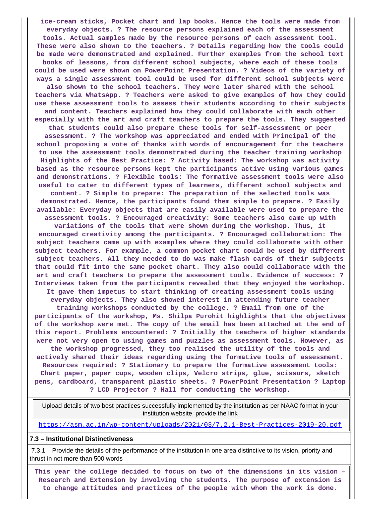**ice-cream sticks, Pocket chart and lap books. Hence the tools were made from everyday objects. ? The resource persons explained each of the assessment tools. Actual samples made by the resource persons of each assessment tool. These were also shown to the teachers. ? Details regarding how the tools could be made were demonstrated and explained. Further examples from the school text books of lessons, from different school subjects, where each of these tools could be used were shown on PowerPoint Presentation. ? Videos of the variety of ways a single assessment tool could be used for different school subjects were also shown to the school teachers. They were later shared with the school teachers via WhatsApp. ? Teachers were asked to give examples of how they could use these assessment tools to assess their students according to their subjects and content. Teachers explained how they could collaborate with each other especially with the art and craft teachers to prepare the tools. They suggested that students could also prepare these tools for self-assessment or peer assessment. ? The workshop was appreciated and ended with Principal of the school proposing a vote of thanks with words of encouragement for the teachers to use the assessment tools demonstrated during the teacher training workshop Highlights of the Best Practice: ? Activity based: The workshop was activity based as the resource persons kept the participants active using various games and demonstrations. ? Flexible tools: The formative assessment tools were also useful to cater to different types of learners, different school subjects and content. ? Simple to prepare: The preparation of the selected tools was demonstrated. Hence, the participants found them simple to prepare. ? Easily available: Everyday objects that are easily available were used to prepare the assessment tools. ? Encouraged creativity: Some teachers also came up with variations of the tools that were shown during the workshop. Thus, it encouraged creativity among the participants. ? Encouraged collaboration: The subject teachers came up with examples where they could collaborate with other subject teachers. For example, a common pocket chart could be used by different subject teachers. All they needed to do was make flash cards of their subjects that could fit into the same pocket chart. They also could collaborate with the art and craft teachers to prepare the assessment tools. Evidence of success: ? Interviews taken from the participants revealed that they enjoyed the workshop. It gave them impetus to start thinking of creating assessment tools using everyday objects. They also showed interest in attending future teacher training workshops conducted by the college. ? Email from one of the participants of the workshop, Ms. Shilpa Purohit highlights that the objectives of the workshop were met. The copy of the email has been attached at the end of this report. Problems encountered: ? Initially the teachers of higher standards were not very open to using games and puzzles as assessment tools. However, as the workshop progressed, they too realised the utility of the tools and actively shared their ideas regarding using the formative tools of assessment. Resources required: ? Stationary to prepare the formative assessment tools: Chart paper, paper cups, wooden clips, Velcro strips, glue, scissors, sketch pens, cardboard, transparent plastic sheets. ? PowerPoint Presentation ? Laptop ? LCD Projector ? Hall for conducting the workshop.**

 Upload details of two best practices successfully implemented by the institution as per NAAC format in your institution website, provide the link

<https://asm.ac.in/wp-content/uploads/2021/03/7.2.1-Best-Practices-2019-20.pdf>

#### **7.3 – Institutional Distinctiveness**

 7.3.1 – Provide the details of the performance of the institution in one area distinctive to its vision, priority and thrust in not more than 500 words

 **This year the college decided to focus on two of the dimensions in its vision – Research and Extension by involving the students. The purpose of extension is to change attitudes and practices of the people with whom the work is done.**